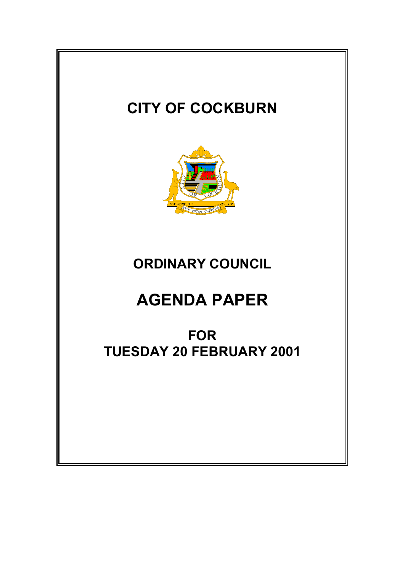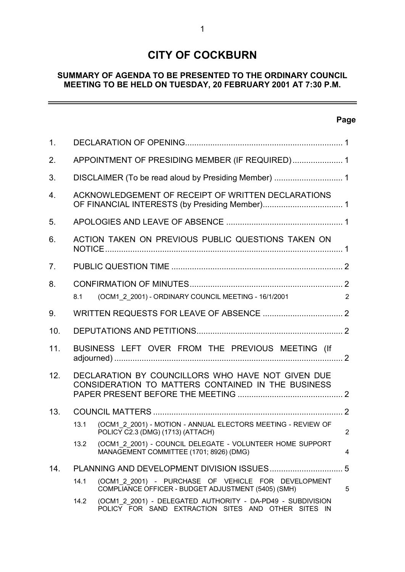# **CITY OF COCKBURN**

# **SUMMARY OF AGENDA TO BE PRESENTED TO THE ORDINARY COUNCIL MEETING TO BE HELD ON TUESDAY, 20 FEBRUARY 2001 AT 7:30 P.M.**

# **Page**

 $\overline{\phantom{0}}$ 

| 1.               |                                                                                                         |                                                                                                                    |                |
|------------------|---------------------------------------------------------------------------------------------------------|--------------------------------------------------------------------------------------------------------------------|----------------|
| 2.               | APPOINTMENT OF PRESIDING MEMBER (IF REQUIRED) 1                                                         |                                                                                                                    |                |
| 3.               |                                                                                                         |                                                                                                                    |                |
| $\overline{4}$ . | ACKNOWLEDGEMENT OF RECEIPT OF WRITTEN DECLARATIONS                                                      |                                                                                                                    |                |
| 5.               |                                                                                                         |                                                                                                                    |                |
| 6.               |                                                                                                         | ACTION TAKEN ON PREVIOUS PUBLIC QUESTIONS TAKEN ON                                                                 |                |
| 7.               |                                                                                                         |                                                                                                                    |                |
| 8.               |                                                                                                         |                                                                                                                    |                |
|                  | 8.1                                                                                                     | (OCM1_2_2001) - ORDINARY COUNCIL MEETING - 16/1/2001                                                               | 2              |
| 9.               |                                                                                                         |                                                                                                                    |                |
| 10.              |                                                                                                         |                                                                                                                    |                |
| 11.              |                                                                                                         | BUSINESS LEFT OVER FROM THE PREVIOUS MEETING (If                                                                   |                |
| 12.              | DECLARATION BY COUNCILLORS WHO HAVE NOT GIVEN DUE<br>CONSIDERATION TO MATTERS CONTAINED IN THE BUSINESS |                                                                                                                    |                |
| 13.              |                                                                                                         |                                                                                                                    |                |
|                  | 13.1                                                                                                    | (OCM1 2 2001) - MOTION - ANNUAL ELECTORS MEETING - REVIEW OF<br>POLICY C2.3 (DMG) (1713) (ATTACH)                  | $\overline{2}$ |
|                  | 13.2                                                                                                    | (OCM1_2_2001) - COUNCIL DELEGATE - VOLUNTEER HOME SUPPORT<br>MANAGEMENT COMMITTEE (1701; 8926) (DMG)               | 4              |
| 14.              |                                                                                                         |                                                                                                                    | 5              |
|                  | 14.1                                                                                                    | (OCM1 2 2001) - PURCHASE OF VEHICLE FOR DEVELOPMENT<br>COMPLIANCE OFFICER - BUDGET ADJUSTMENT (5405) (SMH)         | 5              |
|                  | 14.2                                                                                                    | (OCM1 2 2001) - DELEGATED AUTHORITY - DA-PD49 - SUBDIVISION<br>POLICY FOR SAND EXTRACTION SITES AND OTHER SITES IN |                |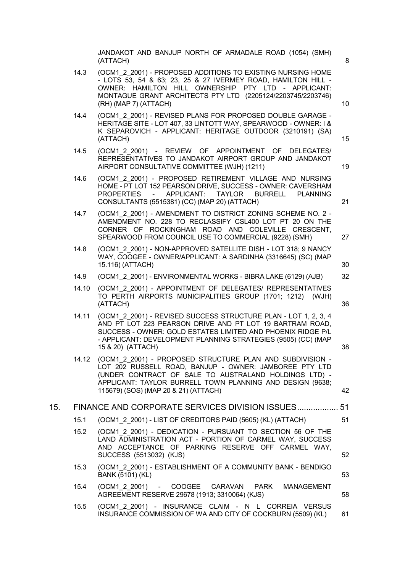JANDAKOT AND BANJUP NORTH OF ARMADALE ROAD (1054) (SMH) (ATTACH) 8 14.3 (OCM1\_2\_2001) - PROPOSED ADDITIONS TO EXISTING NURSING HOME - LOTS 53, 54 & 63; 23, 25 & 27 IVERMEY ROAD, HAMILTON HILL - OWNER: HAMILTON HILL OWNERSHIP PTY LTD - APPLICANT: MONTAGUE GRANT ARCHITECTS PTY LTD (2205124/2203745/2203746) (RH) (MAP 7) (ATTACH) 10 14.4 (OCM1\_2\_2001) - REVISED PLANS FOR PROPOSED DOUBLE GARAGE -HERITAGE SITE - LOT 407, 33 LINTOTT WAY, SPEARWOOD - OWNER: I & K SEPAROVICH - APPLICANT: HERITAGE OUTDOOR (3210191) (SA) (ATTACH) 15 14.5 (OCM1\_2\_2001) - REVIEW OF APPOINTMENT OF DELEGATES/ REPRESENTATIVES TO JANDAKOT AIRPORT GROUP AND JANDAKOT AIRPORT CONSULTATIVE COMMITTEE (WJH) (1211) 19 14.6 (OCM1\_2\_2001) - PROPOSED RETIREMENT VILLAGE AND NURSING HOME - PT LOT 152 PEARSON DRIVE, SUCCESS - OWNER: CAVERSHAM PROPERTIES - APPLICANT: TAYLOR BURRELL PLANNING CONSULTANTS (5515381) (CC) (MAP 20) (ATTACH) 21 14.7 (OCM1\_2\_2001) - AMENDMENT TO DISTRICT ZONING SCHEME NO. 2 -AMENDMENT NO. 228 TO RECLASSIFY CSL400 LOT PT 20 ON THE CORNER OF ROCKINGHAM ROAD AND COLEVILLE CRESCENT, SPEARWOOD FROM COUNCIL USE TO COMMERCIAL (9228) (SMH) 27 14.8 (OCM1\_2\_2001) - NON-APPROVED SATELLITE DISH - LOT 318; 9 NANCY WAY, COOGEE - OWNER/APPLICANT: A SARDINHA (3316645) (SC) (MAP 15.116) (ATTACH) 30 14.9 (OCM1\_2\_2001) - ENVIRONMENTAL WORKS - BIBRA LAKE (6129) (AJB) 32 14.10 (OCM1\_2\_2001) - APPOINTMENT OF DELEGATES/ REPRESENTATIVES TO PERTH AIRPORTS MUNICIPALITIES GROUP (1701; 1212) (WJH) (ATTACH) 36 14.11 (OCM1\_2\_2001) - REVISED SUCCESS STRUCTURE PLAN - LOT 1, 2, 3, 4 AND PT LOT 223 PEARSON DRIVE AND PT LOT 19 BARTRAM ROAD, SUCCESS - OWNER: GOLD ESTATES LIMITED AND PHOENIX RIDGE P/L - APPLICANT: DEVELOPMENT PLANNING STRATEGIES (9505) (CC) (MAP 15 & 20) (ATTACH) 38 14.12 (OCM1\_2\_2001) - PROPOSED STRUCTURE PLAN AND SUBDIVISION - LOT 202 RUSSELL ROAD, BANJUP - OWNER: JAMBOREE PTY LTD (UNDER CONTRACT OF SALE TO AUSTRALAND HOLDINGS LTD) - APPLICANT: TAYLOR BURRELL TOWN PLANNING AND DESIGN (9638; 115679) (SOS) (MAP 20 & 21) (ATTACH) 42 15. FINANCE AND CORPORATE SERVICES DIVISION ISSUES.................. 51 15.1 (OCM1\_2\_2001) - LIST OF CREDITORS PAID (5605) (KL) (ATTACH) 51 15.2 (OCM1\_2\_2001) - DEDICATION - PURSUANT TO SECTION 56 OF THE LAND ADMINISTRATION ACT - PORTION OF CARMEL WAY, SUCCESS AND ACCEPTANCE OF PARKING RESERVE OFF CARMEL WAY, SUCCESS (5513032) (KJS) 52 15.3 (OCM1\_2\_2001) - ESTABLISHMENT OF A COMMUNITY BANK - BENDIGO BANK (5101) (KL) 53 15.4 (OCM1\_2\_2001) - COOGEE CARAVAN PARK MANAGEMENT AGREEMENT RESERVE 29678 (1913; 3310064) (KJS) 58 15.5 (OCM1\_2\_2001) - INSURANCE CLAIM - N L CORREIA VERSUS INSURANCE COMMISSION OF WA AND CITY OF COCKBURN (5509) (KL) 61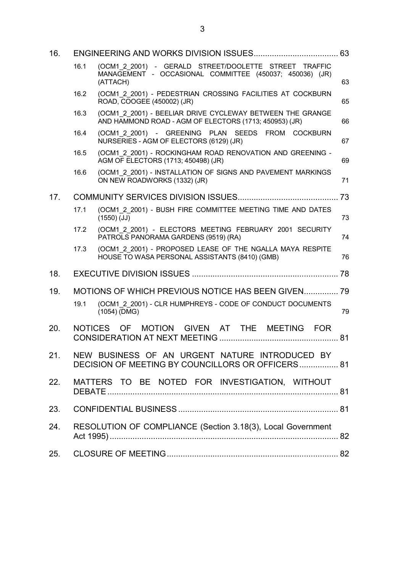| 16. |      |                                                                                                                              |    |
|-----|------|------------------------------------------------------------------------------------------------------------------------------|----|
|     | 16.1 | (OCM1 2 2001) - GERALD STREET/DOOLETTE STREET TRAFFIC<br>MANAGEMENT - OCCASIONAL COMMITTEE (450037; 450036) (JR)<br>(ATTACH) | 63 |
|     | 16.2 | (OCM1 2 2001) - PEDESTRIAN CROSSING FACILITIES AT COCKBURN<br>ROAD, COOGEE (450002) (JR)                                     | 65 |
|     | 16.3 | (OCM1 2 2001) - BEELIAR DRIVE CYCLEWAY BETWEEN THE GRANGE<br>AND HAMMOND ROAD - AGM OF ELECTORS (1713; 450953) (JR)          | 66 |
|     | 16.4 | (OCM1 2 2001) - GREENING PLAN SEEDS FROM COCKBURN<br>NURSERIES - AGM OF ELECTORS (6129) (JR)                                 | 67 |
|     | 16.5 | (OCM1 2 2001) - ROCKINGHAM ROAD RENOVATION AND GREENING -<br>AGM OF ELECTORS (1713; 450498) (JR)                             | 69 |
|     | 16.6 | (OCM1 2 2001) - INSTALLATION OF SIGNS AND PAVEMENT MARKINGS<br>ON NEW ROADWORKS (1332) (JR)                                  | 71 |
| 17. |      |                                                                                                                              |    |
|     | 17.1 | (OCM1_2_2001) - BUSH FIRE COMMITTEE MEETING TIME AND DATES<br>$(1550)$ (JJ)                                                  | 73 |
|     | 17.2 | (OCM1 2 2001) - ELECTORS MEETING FEBRUARY 2001 SECURITY<br>PATROLS PANORAMA GARDENS (9519) (RA)                              | 74 |
|     | 17.3 | (OCM1 2 2001) - PROPOSED LEASE OF THE NGALLA MAYA RESPITE<br>HOUSE TO WASA PERSONAL ASSISTANTS (8410) (GMB)                  | 76 |
| 18. |      |                                                                                                                              |    |
| 19. |      | MOTIONS OF WHICH PREVIOUS NOTICE HAS BEEN GIVEN 79                                                                           |    |
|     | 19.1 | (OCM1 2 2001) - CLR HUMPHREYS - CODE OF CONDUCT DOCUMENTS<br>$(1054)$ (DMG)                                                  | 79 |
| 20. |      | NOTICES OF MOTION GIVEN AT THE MEETING FOR                                                                                   |    |
| 21. |      | NEW BUSINESS OF AN URGENT NATURE INTRODUCED BY<br>DECISION OF MEETING BY COUNCILLORS OR OFFICERS 81                          |    |
| 22. |      | MATTERS TO BE NOTED FOR INVESTIGATION, WITHOUT                                                                               |    |
| 23. |      |                                                                                                                              |    |
| 24. |      | RESOLUTION OF COMPLIANCE (Section 3.18(3), Local Government                                                                  |    |
| 25. |      |                                                                                                                              |    |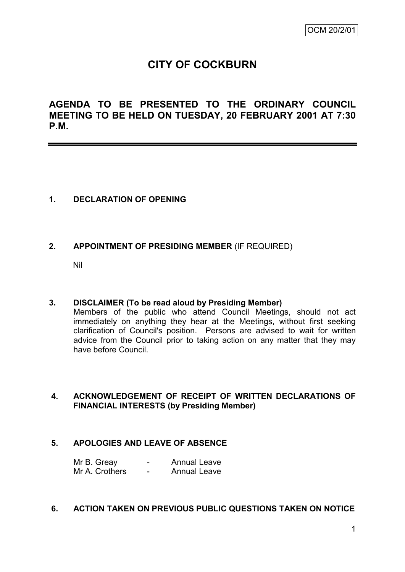# **CITY OF COCKBURN**

**AGENDA TO BE PRESENTED TO THE ORDINARY COUNCIL MEETING TO BE HELD ON TUESDAY, 20 FEBRUARY 2001 AT 7:30 P.M.**

## **1. DECLARATION OF OPENING**

## **2. APPOINTMENT OF PRESIDING MEMBER** (IF REQUIRED)

Nil

## **3. DISCLAIMER (To be read aloud by Presiding Member)**

Members of the public who attend Council Meetings, should not act immediately on anything they hear at the Meetings, without first seeking clarification of Council's position. Persons are advised to wait for written advice from the Council prior to taking action on any matter that they may have before Council.

## **4. ACKNOWLEDGEMENT OF RECEIPT OF WRITTEN DECLARATIONS OF FINANCIAL INTERESTS (by Presiding Member)**

## **5. APOLOGIES AND LEAVE OF ABSENCE**

Mr B. Greay Facebook Fannual Leave Mr A. Crothers - Annual Leave

#### **6. ACTION TAKEN ON PREVIOUS PUBLIC QUESTIONS TAKEN ON NOTICE**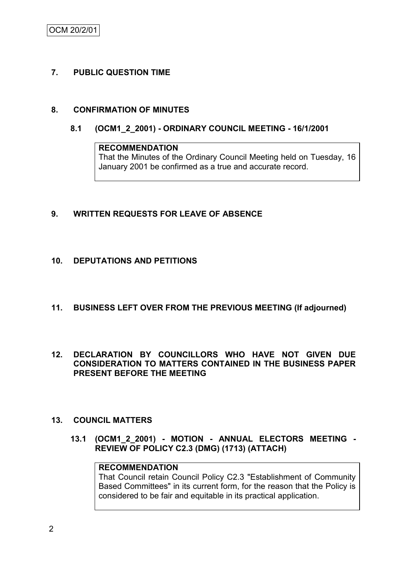OCM 20/2/01

## **7. PUBLIC QUESTION TIME**

## **8. CONFIRMATION OF MINUTES**

**8.1 (OCM1\_2\_2001) - ORDINARY COUNCIL MEETING - 16/1/2001**

# **RECOMMENDATION** That the Minutes of the Ordinary Council Meeting held on Tuesday, 16 January 2001 be confirmed as a true and accurate record.

## **9. WRITTEN REQUESTS FOR LEAVE OF ABSENCE**

#### **10. DEPUTATIONS AND PETITIONS**

- **11. BUSINESS LEFT OVER FROM THE PREVIOUS MEETING (If adjourned)**
- **12. DECLARATION BY COUNCILLORS WHO HAVE NOT GIVEN DUE CONSIDERATION TO MATTERS CONTAINED IN THE BUSINESS PAPER PRESENT BEFORE THE MEETING**

#### **13. COUNCIL MATTERS**

**13.1 (OCM1\_2\_2001) - MOTION - ANNUAL ELECTORS MEETING - REVIEW OF POLICY C2.3 (DMG) (1713) (ATTACH)**

# **RECOMMENDATION**

That Council retain Council Policy C2.3 "Establishment of Community Based Committees" in its current form, for the reason that the Policy is considered to be fair and equitable in its practical application.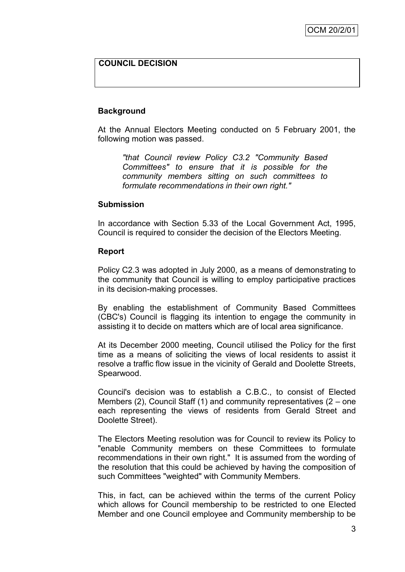# **COUNCIL DECISION**

#### **Background**

At the Annual Electors Meeting conducted on 5 February 2001, the following motion was passed.

*"that Council review Policy C3.2 "Community Based Committees" to ensure that it is possible for the community members sitting on such committees to formulate recommendations in their own right."*

#### **Submission**

In accordance with Section 5.33 of the Local Government Act, 1995, Council is required to consider the decision of the Electors Meeting.

#### **Report**

Policy C2.3 was adopted in July 2000, as a means of demonstrating to the community that Council is willing to employ participative practices in its decision-making processes.

By enabling the establishment of Community Based Committees (CBC's) Council is flagging its intention to engage the community in assisting it to decide on matters which are of local area significance.

At its December 2000 meeting, Council utilised the Policy for the first time as a means of soliciting the views of local residents to assist it resolve a traffic flow issue in the vicinity of Gerald and Doolette Streets, Spearwood.

Council's decision was to establish a C.B.C., to consist of Elected Members (2), Council Staff (1) and community representatives (2 – one each representing the views of residents from Gerald Street and Doolette Street).

The Electors Meeting resolution was for Council to review its Policy to "enable Community members on these Committees to formulate recommendations in their own right." It is assumed from the wording of the resolution that this could be achieved by having the composition of such Committees "weighted" with Community Members.

This, in fact, can be achieved within the terms of the current Policy which allows for Council membership to be restricted to one Elected Member and one Council employee and Community membership to be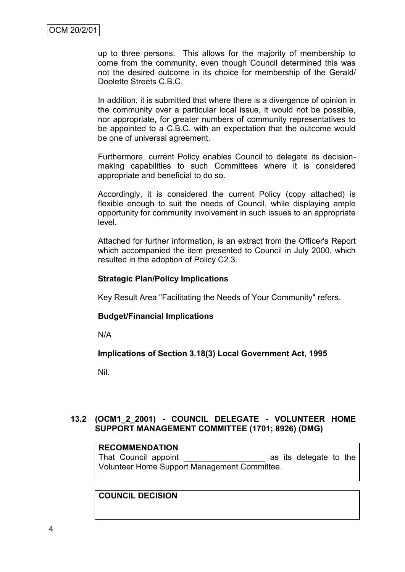up to three persons. This allows for the majority of membership to come from the community, even though Council determined this was not the desired outcome in its choice for membership of the Gerald/ Doolette Streets C.B.C.

In addition, it is submitted that where there is a divergence of opinion in the community over a particular local issue, it would not be possible, nor appropriate, for greater numbers of community representatives to be appointed to a C.B.C. with an expectation that the outcome would be one of universal agreement.

Furthermore, current Policy enables Council to delegate its decisionmaking capabilities to such Committees where it is considered appropriate and beneficial to do so.

Accordingly, it is considered the current Policy (copy attached) is flexible enough to suit the needs of Council, while displaying ample opportunity for community involvement in such issues to an appropriate level.

Attached for further information, is an extract from the Officer's Report which accompanied the item presented to Council in July 2000, which resulted in the adoption of Policy C2.3.

#### **Strategic Plan/Policy Implications**

Key Result Area "Facilitating the Needs of Your Community" refers.

#### **Budget/Financial Implications**

N/A

## **Implications of Section 3.18(3) Local Government Act, 1995**

Nil.

## **13.2 (OCM1\_2\_2001) - COUNCIL DELEGATE - VOLUNTEER HOME SUPPORT MANAGEMENT COMMITTEE (1701; 8926) (DMG)**

#### **RECOMMENDATION**

That Council appoint **Example 2** as its delegate to the Volunteer Home Support Management Committee.

# **COUNCIL DECISION**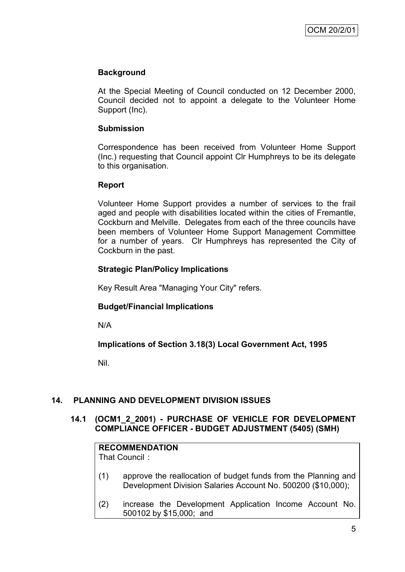# **Background**

At the Special Meeting of Council conducted on 12 December 2000, Council decided not to appoint a delegate to the Volunteer Home Support (Inc).

## **Submission**

Correspondence has been received from Volunteer Home Support (Inc.) requesting that Council appoint Clr Humphreys to be its delegate to this organisation.

## **Report**

Volunteer Home Support provides a number of services to the frail aged and people with disabilities located within the cities of Fremantle, Cockburn and Melville. Delegates from each of the three councils have been members of Volunteer Home Support Management Committee for a number of years. Clr Humphreys has represented the City of Cockburn in the past.

## **Strategic Plan/Policy Implications**

Key Result Area "Managing Your City" refers.

# **Budget/Financial Implications**

N/A

**Implications of Section 3.18(3) Local Government Act, 1995**

Nil.

# **14. PLANNING AND DEVELOPMENT DIVISION ISSUES**

## **14.1 (OCM1\_2\_2001) - PURCHASE OF VEHICLE FOR DEVELOPMENT COMPLIANCE OFFICER - BUDGET ADJUSTMENT (5405) (SMH)**

| <b>RECOMMENDATION</b><br>That Council: |                                                                                                                                |  |  |
|----------------------------------------|--------------------------------------------------------------------------------------------------------------------------------|--|--|
| (1)                                    | approve the reallocation of budget funds from the Planning and<br>Development Division Salaries Account No. 500200 (\$10,000); |  |  |
| (2)                                    | increase the Development Application Income Account No.<br>500102 by \$15,000; and                                             |  |  |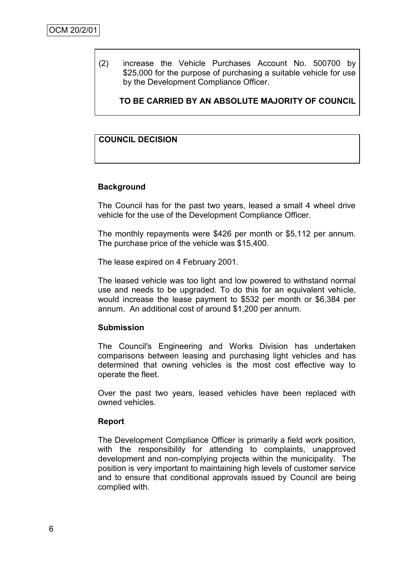(2) increase the Vehicle Purchases Account No. 500700 by \$25,000 for the purpose of purchasing a suitable vehicle for use by the Development Compliance Officer.

**TO BE CARRIED BY AN ABSOLUTE MAJORITY OF COUNCIL** 

## **COUNCIL DECISION**

## **Background**

The Council has for the past two years, leased a small 4 wheel drive vehicle for the use of the Development Compliance Officer.

The monthly repayments were \$426 per month or \$5,112 per annum. The purchase price of the vehicle was \$15,400.

The lease expired on 4 February 2001.

The leased vehicle was too light and low powered to withstand normal use and needs to be upgraded. To do this for an equivalent vehicle, would increase the lease payment to \$532 per month or \$6,384 per annum. An additional cost of around \$1,200 per annum.

## **Submission**

The Council's Engineering and Works Division has undertaken comparisons between leasing and purchasing light vehicles and has determined that owning vehicles is the most cost effective way to operate the fleet.

Over the past two years, leased vehicles have been replaced with owned vehicles.

#### **Report**

The Development Compliance Officer is primarily a field work position, with the responsibility for attending to complaints, unapproved development and non-complying projects within the municipality. The position is very important to maintaining high levels of customer service and to ensure that conditional approvals issued by Council are being complied with.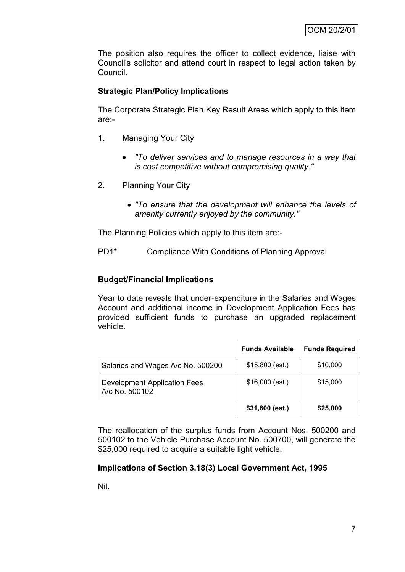The position also requires the officer to collect evidence, liaise with Council's solicitor and attend court in respect to legal action taken by Council.

## **Strategic Plan/Policy Implications**

The Corporate Strategic Plan Key Result Areas which apply to this item are:-

- 1. Managing Your City
	- *"To deliver services and to manage resources in a way that is cost competitive without compromising quality."*
- 2. Planning Your City
	- *"To ensure that the development will enhance the levels of amenity currently enjoyed by the community."*

The Planning Policies which apply to this item are:-

PD1\* Compliance With Conditions of Planning Approval

## **Budget/Financial Implications**

Year to date reveals that under-expenditure in the Salaries and Wages Account and additional income in Development Application Fees has provided sufficient funds to purchase an upgraded replacement vehicle.

|                                                       | <b>Funds Available</b> | <b>Funds Required</b> |
|-------------------------------------------------------|------------------------|-----------------------|
| Salaries and Wages A/c No. 500200                     | $$15,800$ (est.)       | \$10,000              |
| <b>Development Application Fees</b><br>A/c No. 500102 | $$16,000$ (est.)       | \$15,000              |
|                                                       | \$31,800 (est.)        | \$25,000              |

The reallocation of the surplus funds from Account Nos. 500200 and 500102 to the Vehicle Purchase Account No. 500700, will generate the \$25,000 required to acquire a suitable light vehicle.

## **Implications of Section 3.18(3) Local Government Act, 1995**

Nil.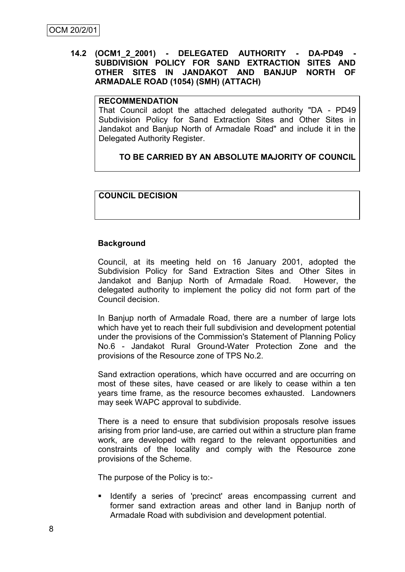## **14.2 (OCM1\_2\_2001) - DELEGATED AUTHORITY - DA-PD49 - SUBDIVISION POLICY FOR SAND EXTRACTION SITES AND OTHER SITES IN JANDAKOT AND BANJUP NORTH OF ARMADALE ROAD (1054) (SMH) (ATTACH)**

#### **RECOMMENDATION**

That Council adopt the attached delegated authority "DA - PD49 Subdivision Policy for Sand Extraction Sites and Other Sites in Jandakot and Banjup North of Armadale Road" and include it in the Delegated Authority Register.

# **TO BE CARRIED BY AN ABSOLUTE MAJORITY OF COUNCIL**

## **COUNCIL DECISION**

## **Background**

Council, at its meeting held on 16 January 2001, adopted the Subdivision Policy for Sand Extraction Sites and Other Sites in Jandakot and Banjup North of Armadale Road. However, the delegated authority to implement the policy did not form part of the Council decision.

In Banjup north of Armadale Road, there are a number of large lots which have yet to reach their full subdivision and development potential under the provisions of the Commission's Statement of Planning Policy No.6 - Jandakot Rural Ground-Water Protection Zone and the provisions of the Resource zone of TPS No.2.

Sand extraction operations, which have occurred and are occurring on most of these sites, have ceased or are likely to cease within a ten years time frame, as the resource becomes exhausted. Landowners may seek WAPC approval to subdivide.

There is a need to ensure that subdivision proposals resolve issues arising from prior land-use, are carried out within a structure plan frame work, are developed with regard to the relevant opportunities and constraints of the locality and comply with the Resource zone provisions of the Scheme.

The purpose of the Policy is to:-

**If** Identify a series of 'precinct' areas encompassing current and former sand extraction areas and other land in Banjup north of Armadale Road with subdivision and development potential.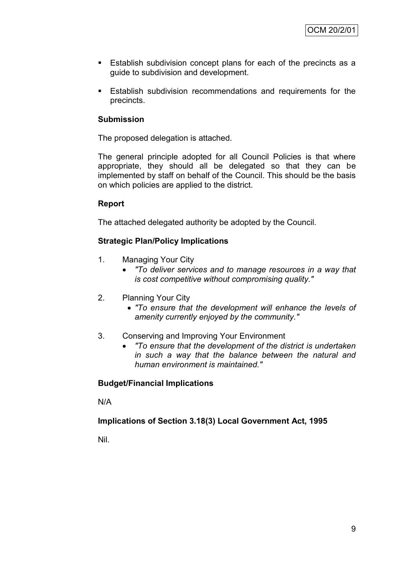- **Establish subdivision concept plans for each of the precincts as a** guide to subdivision and development.
- Establish subdivision recommendations and requirements for the precincts.

## **Submission**

The proposed delegation is attached.

The general principle adopted for all Council Policies is that where appropriate, they should all be delegated so that they can be implemented by staff on behalf of the Council. This should be the basis on which policies are applied to the district.

## **Report**

The attached delegated authority be adopted by the Council.

# **Strategic Plan/Policy Implications**

- 1. Managing Your City
	- *"To deliver services and to manage resources in a way that is cost competitive without compromising quality."*
- 2. Planning Your City
	- *"To ensure that the development will enhance the levels of amenity currently enjoyed by the community."*
- 3. Conserving and Improving Your Environment
	- *"To ensure that the development of the district is undertaken in such a way that the balance between the natural and human environment is maintained."*

# **Budget/Financial Implications**

N/A

# **Implications of Section 3.18(3) Local Government Act, 1995**

Nil.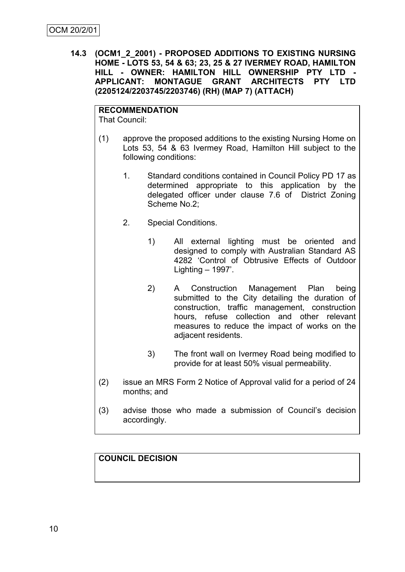**14.3 (OCM1\_2\_2001) - PROPOSED ADDITIONS TO EXISTING NURSING HOME - LOTS 53, 54 & 63; 23, 25 & 27 IVERMEY ROAD, HAMILTON HILL - OWNER: HAMILTON HILL OWNERSHIP PTY LTD - APPLICANT: MONTAGUE GRANT ARCHITECTS PTY LTD (2205124/2203745/2203746) (RH) (MAP 7) (ATTACH)**

# **RECOMMENDATION**

That Council:

- (1) approve the proposed additions to the existing Nursing Home on Lots 53, 54 & 63 Ivermey Road, Hamilton Hill subject to the following conditions:
	- 1. Standard conditions contained in Council Policy PD 17 as determined appropriate to this application by the delegated officer under clause 7.6 of District Zoning Scheme No.2;
	- 2. Special Conditions.
		- 1) All external lighting must be oriented and designed to comply with Australian Standard AS 4282 "Control of Obtrusive Effects of Outdoor Lighting  $-1997'$ .
		- 2) A Construction Management Plan being submitted to the City detailing the duration of construction, traffic management, construction hours, refuse collection and other relevant measures to reduce the impact of works on the adjacent residents.
		- 3) The front wall on Ivermey Road being modified to provide for at least 50% visual permeability.
- (2) issue an MRS Form 2 Notice of Approval valid for a period of 24 months; and
- (3) advise those who made a submission of Council"s decision accordingly.

# **COUNCIL DECISION**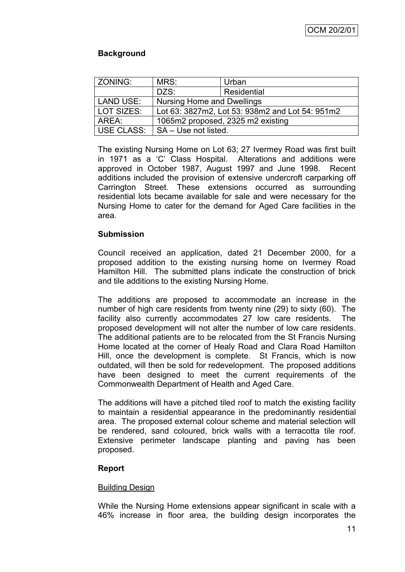# **Background**

| ZONING:                                               | MRS:                                            | Urban       |  |
|-------------------------------------------------------|-------------------------------------------------|-------------|--|
|                                                       | DZS:                                            | Residential |  |
| <b>LAND USE:</b><br><b>Nursing Home and Dwellings</b> |                                                 |             |  |
| LOT SIZES:                                            | Lot 63: 3827m2, Lot 53: 938m2 and Lot 54: 951m2 |             |  |
| AREA:<br>1065m2 proposed, 2325 m2 existing            |                                                 |             |  |
| USE CLASS:                                            | SA - Use not listed.                            |             |  |

The existing Nursing Home on Lot 63; 27 Ivermey Road was first built in 1971 as a "C" Class Hospital. Alterations and additions were approved in October 1987, August 1997 and June 1998. Recent additions included the provision of extensive undercroft carparking off Carrington Street. These extensions occurred as surrounding residential lots became available for sale and were necessary for the Nursing Home to cater for the demand for Aged Care facilities in the area.

## **Submission**

Council received an application, dated 21 December 2000, for a proposed addition to the existing nursing home on Ivermey Road Hamilton Hill. The submitted plans indicate the construction of brick and tile additions to the existing Nursing Home.

The additions are proposed to accommodate an increase in the number of high care residents from twenty nine (29) to sixty (60). The facility also currently accommodates 27 low care residents. The proposed development will not alter the number of low care residents. The additional patients are to be relocated from the St Francis Nursing Home located at the corner of Healy Road and Clara Road Hamilton Hill, once the development is complete. St Francis, which is now outdated, will then be sold for redevelopment. The proposed additions have been designed to meet the current requirements of the Commonwealth Department of Health and Aged Care.

The additions will have a pitched tiled roof to match the existing facility to maintain a residential appearance in the predominantly residential area. The proposed external colour scheme and material selection will be rendered, sand coloured, brick walls with a terracotta tile roof. Extensive perimeter landscape planting and paving has been proposed.

# **Report**

## Building Design

While the Nursing Home extensions appear significant in scale with a 46% increase in floor area, the building design incorporates the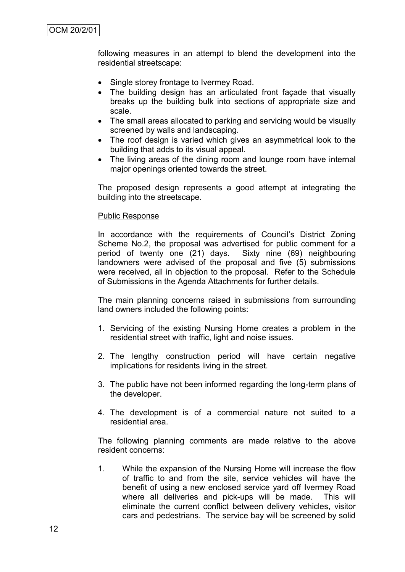following measures in an attempt to blend the development into the residential streetscape:

- Single storey frontage to Ivermey Road.
- The building design has an articulated front façade that visually breaks up the building bulk into sections of appropriate size and scale.
- The small areas allocated to parking and servicing would be visually screened by walls and landscaping.
- The roof design is varied which gives an asymmetrical look to the building that adds to its visual appeal.
- The living areas of the dining room and lounge room have internal major openings oriented towards the street.

The proposed design represents a good attempt at integrating the building into the streetscape.

#### Public Response

In accordance with the requirements of Council's District Zoning Scheme No.2, the proposal was advertised for public comment for a period of twenty one (21) days. Sixty nine (69) neighbouring landowners were advised of the proposal and five (5) submissions were received, all in objection to the proposal. Refer to the Schedule of Submissions in the Agenda Attachments for further details.

The main planning concerns raised in submissions from surrounding land owners included the following points:

- 1. Servicing of the existing Nursing Home creates a problem in the residential street with traffic, light and noise issues.
- 2. The lengthy construction period will have certain negative implications for residents living in the street.
- 3. The public have not been informed regarding the long-term plans of the developer.
- 4. The development is of a commercial nature not suited to a residential area.

The following planning comments are made relative to the above resident concerns:

1. While the expansion of the Nursing Home will increase the flow of traffic to and from the site, service vehicles will have the benefit of using a new enclosed service yard off Ivermey Road where all deliveries and pick-ups will be made. This will eliminate the current conflict between delivery vehicles, visitor cars and pedestrians. The service bay will be screened by solid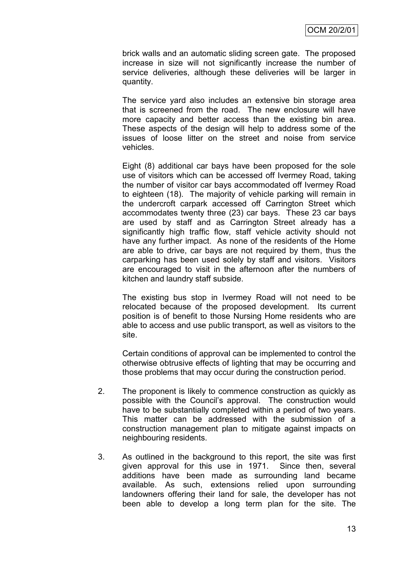brick walls and an automatic sliding screen gate. The proposed increase in size will not significantly increase the number of service deliveries, although these deliveries will be larger in quantity.

The service yard also includes an extensive bin storage area that is screened from the road. The new enclosure will have more capacity and better access than the existing bin area. These aspects of the design will help to address some of the issues of loose litter on the street and noise from service vehicles.

Eight (8) additional car bays have been proposed for the sole use of visitors which can be accessed off Ivermey Road, taking the number of visitor car bays accommodated off Ivermey Road to eighteen (18). The majority of vehicle parking will remain in the undercroft carpark accessed off Carrington Street which accommodates twenty three (23) car bays. These 23 car bays are used by staff and as Carrington Street already has a significantly high traffic flow, staff vehicle activity should not have any further impact. As none of the residents of the Home are able to drive, car bays are not required by them, thus the carparking has been used solely by staff and visitors. Visitors are encouraged to visit in the afternoon after the numbers of kitchen and laundry staff subside.

The existing bus stop in Ivermey Road will not need to be relocated because of the proposed development. Its current position is of benefit to those Nursing Home residents who are able to access and use public transport, as well as visitors to the site.

Certain conditions of approval can be implemented to control the otherwise obtrusive effects of lighting that may be occurring and those problems that may occur during the construction period.

- 2. The proponent is likely to commence construction as quickly as possible with the Council"s approval. The construction would have to be substantially completed within a period of two years. This matter can be addressed with the submission of a construction management plan to mitigate against impacts on neighbouring residents.
- 3. As outlined in the background to this report, the site was first given approval for this use in 1971. Since then, several additions have been made as surrounding land became available. As such, extensions relied upon surrounding landowners offering their land for sale, the developer has not been able to develop a long term plan for the site. The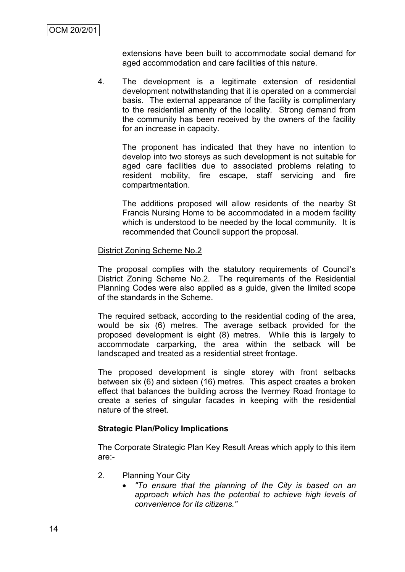extensions have been built to accommodate social demand for aged accommodation and care facilities of this nature.

4. The development is a legitimate extension of residential development notwithstanding that it is operated on a commercial basis. The external appearance of the facility is complimentary to the residential amenity of the locality. Strong demand from the community has been received by the owners of the facility for an increase in capacity.

The proponent has indicated that they have no intention to develop into two storeys as such development is not suitable for aged care facilities due to associated problems relating to resident mobility, fire escape, staff servicing and fire compartmentation.

The additions proposed will allow residents of the nearby St Francis Nursing Home to be accommodated in a modern facility which is understood to be needed by the local community. It is recommended that Council support the proposal.

#### District Zoning Scheme No.2

The proposal complies with the statutory requirements of Council"s District Zoning Scheme No.2. The requirements of the Residential Planning Codes were also applied as a guide, given the limited scope of the standards in the Scheme.

The required setback, according to the residential coding of the area, would be six (6) metres. The average setback provided for the proposed development is eight (8) metres. While this is largely to accommodate carparking, the area within the setback will be landscaped and treated as a residential street frontage.

The proposed development is single storey with front setbacks between six (6) and sixteen (16) metres. This aspect creates a broken effect that balances the building across the Ivermey Road frontage to create a series of singular facades in keeping with the residential nature of the street.

## **Strategic Plan/Policy Implications**

The Corporate Strategic Plan Key Result Areas which apply to this item are:-

- 2. Planning Your City
	- *"To ensure that the planning of the City is based on an approach which has the potential to achieve high levels of convenience for its citizens."*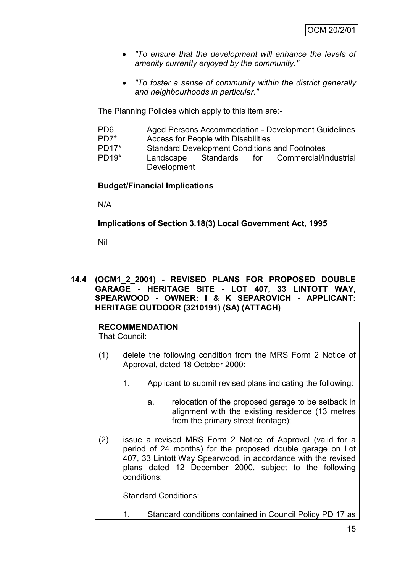- *"To ensure that the development will enhance the levels of amenity currently enjoyed by the community."*
- *"To foster a sense of community within the district generally and neighbourhoods in particular."*

The Planning Policies which apply to this item are:-

- PD6 Aged Persons Accommodation Development Guidelines<br>PD7\* Access for People with Disabilities
- Access for People with Disabilities
- PD17\* Standard Development Conditions and Footnotes
- PD19\* Landscape Standards for Commercial/Industrial Development

## **Budget/Financial Implications**

N/A

**Implications of Section 3.18(3) Local Government Act, 1995**

Nil

## **14.4 (OCM1\_2\_2001) - REVISED PLANS FOR PROPOSED DOUBLE GARAGE - HERITAGE SITE - LOT 407, 33 LINTOTT WAY, SPEARWOOD - OWNER: I & K SEPAROVICH - APPLICANT: HERITAGE OUTDOOR (3210191) (SA) (ATTACH)**

# **RECOMMENDATION**

That Council:

- (1) delete the following condition from the MRS Form 2 Notice of Approval, dated 18 October 2000:
	- 1. Applicant to submit revised plans indicating the following:
		- a. relocation of the proposed garage to be setback in alignment with the existing residence (13 metres from the primary street frontage);
- (2) issue a revised MRS Form 2 Notice of Approval (valid for a period of 24 months) for the proposed double garage on Lot 407, 33 Lintott Way Spearwood, in accordance with the revised plans dated 12 December 2000, subject to the following conditions:

Standard Conditions:

1. Standard conditions contained in Council Policy PD 17 as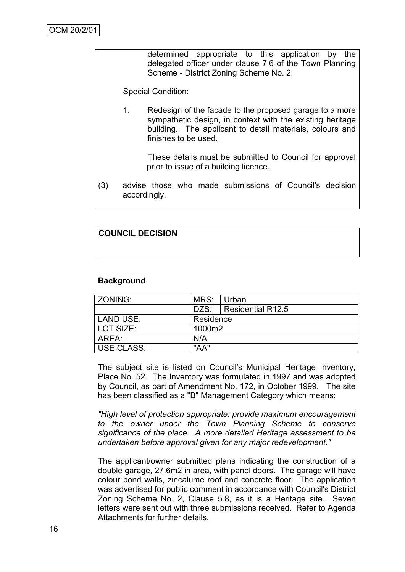determined appropriate to this application by the delegated officer under clause 7.6 of the Town Planning Scheme - District Zoning Scheme No. 2;

Special Condition:

1. Redesign of the facade to the proposed garage to a more sympathetic design, in context with the existing heritage building. The applicant to detail materials, colours and finishes to be used.

> These details must be submitted to Council for approval prior to issue of a building licence.

(3) advise those who made submissions of Council's decision accordingly.

## **COUNCIL DECISION**

#### **Background**

| <b>ZONING:</b>                | MRS: | Urban                    |
|-------------------------------|------|--------------------------|
|                               |      | DZS:   Residential R12.5 |
| <b>LAND USE:</b><br>Residence |      |                          |
| l LOT SIZE:<br>1000m2         |      |                          |
| AREA:                         | N/A  |                          |
| <b>USE CLASS:</b>             | "AA" |                          |

The subject site is listed on Council's Municipal Heritage Inventory, Place No. 52. The Inventory was formulated in 1997 and was adopted by Council, as part of Amendment No. 172, in October 1999. The site has been classified as a "B" Management Category which means:

*"High level of protection appropriate: provide maximum encouragement to the owner under the Town Planning Scheme to conserve significance of the place. A more detailed Heritage assessment to be undertaken before approval given for any major redevelopment."*

The applicant/owner submitted plans indicating the construction of a double garage, 27.6m2 in area, with panel doors. The garage will have colour bond walls, zincalume roof and concrete floor. The application was advertised for public comment in accordance with Council's District Zoning Scheme No. 2, Clause 5.8, as it is a Heritage site. Seven letters were sent out with three submissions received. Refer to Agenda Attachments for further details.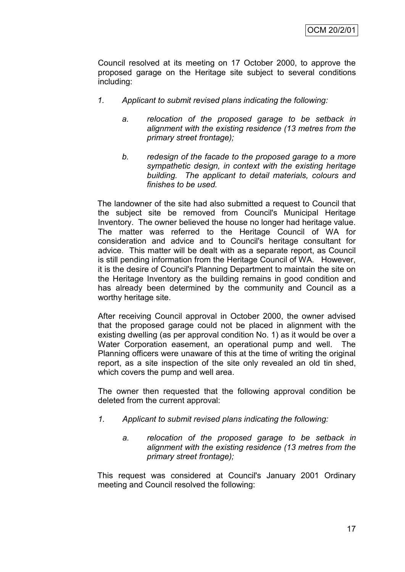Council resolved at its meeting on 17 October 2000, to approve the proposed garage on the Heritage site subject to several conditions including:

- *1. Applicant to submit revised plans indicating the following:* 
	- *a. relocation of the proposed garage to be setback in alignment with the existing residence (13 metres from the primary street frontage);*
	- *b. redesign of the facade to the proposed garage to a more sympathetic design, in context with the existing heritage building. The applicant to detail materials, colours and finishes to be used.*

The landowner of the site had also submitted a request to Council that the subject site be removed from Council's Municipal Heritage Inventory. The owner believed the house no longer had heritage value. The matter was referred to the Heritage Council of WA for consideration and advice and to Council's heritage consultant for advice. This matter will be dealt with as a separate report, as Council is still pending information from the Heritage Council of WA. However, it is the desire of Council's Planning Department to maintain the site on the Heritage Inventory as the building remains in good condition and has already been determined by the community and Council as a worthy heritage site.

After receiving Council approval in October 2000, the owner advised that the proposed garage could not be placed in alignment with the existing dwelling (as per approval condition No. 1) as it would be over a Water Corporation easement, an operational pump and well. The Planning officers were unaware of this at the time of writing the original report, as a site inspection of the site only revealed an old tin shed, which covers the pump and well area.

The owner then requested that the following approval condition be deleted from the current approval:

- *1. Applicant to submit revised plans indicating the following:*
	- *a. relocation of the proposed garage to be setback in alignment with the existing residence (13 metres from the primary street frontage);*

This request was considered at Council's January 2001 Ordinary meeting and Council resolved the following: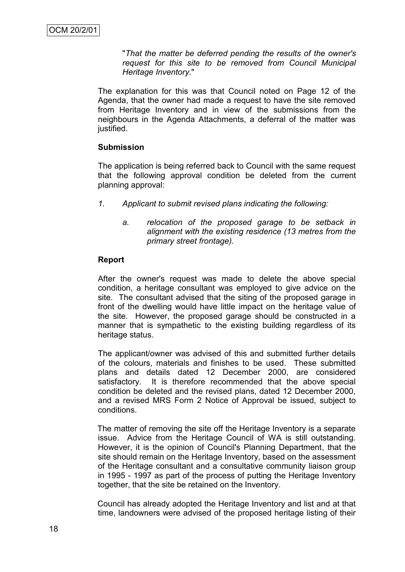"*That the matter be deferred pending the results of the owner's request for this site to be removed from Council Municipal Heritage Inventory.*"

The explanation for this was that Council noted on Page 12 of the Agenda, that the owner had made a request to have the site removed from Heritage Inventory and in view of the submissions from the neighbours in the Agenda Attachments, a deferral of the matter was justified.

## **Submission**

The application is being referred back to Council with the same request that the following approval condition be deleted from the current planning approval:

- *1. Applicant to submit revised plans indicating the following:*
	- *a. relocation of the proposed garage to be setback in alignment with the existing residence (13 metres from the primary street frontage).*

#### **Report**

After the owner's request was made to delete the above special condition, a heritage consultant was employed to give advice on the site. The consultant advised that the siting of the proposed garage in front of the dwelling would have little impact on the heritage value of the site. However, the proposed garage should be constructed in a manner that is sympathetic to the existing building regardless of its heritage status.

The applicant/owner was advised of this and submitted further details of the colours, materials and finishes to be used. These submitted plans and details dated 12 December 2000, are considered satisfactory. It is therefore recommended that the above special condition be deleted and the revised plans, dated 12 December 2000, and a revised MRS Form 2 Notice of Approval be issued, subject to conditions.

The matter of removing the site off the Heritage Inventory is a separate issue. Advice from the Heritage Council of WA is still outstanding. However, it is the opinion of Council's Planning Department, that the site should remain on the Heritage Inventory, based on the assessment of the Heritage consultant and a consultative community liaison group in 1995 - 1997 as part of the process of putting the Heritage Inventory together, that the site be retained on the Inventory.

Council has already adopted the Heritage Inventory and list and at that time, landowners were advised of the proposed heritage listing of their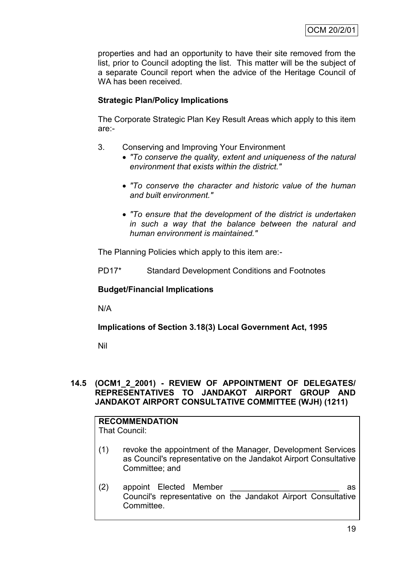properties and had an opportunity to have their site removed from the list, prior to Council adopting the list. This matter will be the subject of a separate Council report when the advice of the Heritage Council of WA has been received.

# **Strategic Plan/Policy Implications**

The Corporate Strategic Plan Key Result Areas which apply to this item are:-

- 3. Conserving and Improving Your Environment
	- *"To conserve the quality, extent and uniqueness of the natural environment that exists within the district."*
	- *"To conserve the character and historic value of the human and built environment."*
	- *"To ensure that the development of the district is undertaken in such a way that the balance between the natural and human environment is maintained."*

The Planning Policies which apply to this item are:-

PD17\* Standard Development Conditions and Footnotes

## **Budget/Financial Implications**

N/A

**Implications of Section 3.18(3) Local Government Act, 1995**

Nil

## **14.5 (OCM1\_2\_2001) - REVIEW OF APPOINTMENT OF DELEGATES/ REPRESENTATIVES TO JANDAKOT AIRPORT GROUP AND JANDAKOT AIRPORT CONSULTATIVE COMMITTEE (WJH) (1211)**

#### **RECOMMENDATION** That Council:

- (1) revoke the appointment of the Manager, Development Services as Council's representative on the Jandakot Airport Consultative Committee; and
- (2) appoint Elected Member as Council's representative on the Jandakot Airport Consultative Committee.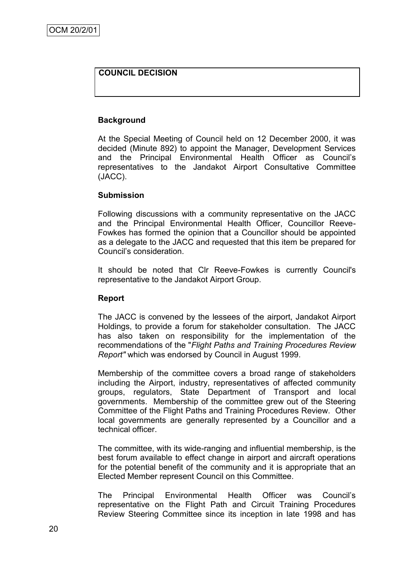## **COUNCIL DECISION**

## **Background**

At the Special Meeting of Council held on 12 December 2000, it was decided (Minute 892) to appoint the Manager, Development Services and the Principal Environmental Health Officer as Council"s representatives to the Jandakot Airport Consultative Committee (JACC).

#### **Submission**

Following discussions with a community representative on the JACC and the Principal Environmental Health Officer, Councillor Reeve-Fowkes has formed the opinion that a Councillor should be appointed as a delegate to the JACC and requested that this item be prepared for Council"s consideration.

It should be noted that Clr Reeve-Fowkes is currently Council's representative to the Jandakot Airport Group.

#### **Report**

The JACC is convened by the lessees of the airport, Jandakot Airport Holdings, to provide a forum for stakeholder consultation. The JACC has also taken on responsibility for the implementation of the recommendations of the "*Flight Paths and Training Procedures Review Report"* which was endorsed by Council in August 1999.

Membership of the committee covers a broad range of stakeholders including the Airport, industry, representatives of affected community groups, regulators, State Department of Transport and local governments. Membership of the committee grew out of the Steering Committee of the Flight Paths and Training Procedures Review. Other local governments are generally represented by a Councillor and a technical officer.

The committee, with its wide-ranging and influential membership, is the best forum available to effect change in airport and aircraft operations for the potential benefit of the community and it is appropriate that an Elected Member represent Council on this Committee.

The Principal Environmental Health Officer was Council"s representative on the Flight Path and Circuit Training Procedures Review Steering Committee since its inception in late 1998 and has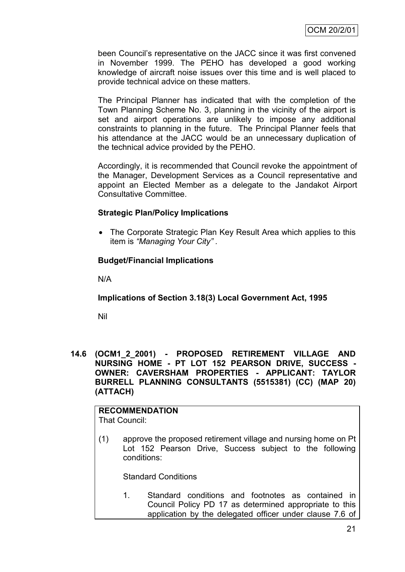been Council"s representative on the JACC since it was first convened in November 1999. The PEHO has developed a good working knowledge of aircraft noise issues over this time and is well placed to provide technical advice on these matters.

The Principal Planner has indicated that with the completion of the Town Planning Scheme No. 3, planning in the vicinity of the airport is set and airport operations are unlikely to impose any additional constraints to planning in the future. The Principal Planner feels that his attendance at the JACC would be an unnecessary duplication of the technical advice provided by the PEHO.

Accordingly, it is recommended that Council revoke the appointment of the Manager, Development Services as a Council representative and appoint an Elected Member as a delegate to the Jandakot Airport Consultative Committee.

## **Strategic Plan/Policy Implications**

 The Corporate Strategic Plan Key Result Area which applies to this item is *"Managing Your City" .*

## **Budget/Financial Implications**

N/A

**Implications of Section 3.18(3) Local Government Act, 1995**

Nil

**14.6 (OCM1\_2\_2001) - PROPOSED RETIREMENT VILLAGE AND NURSING HOME - PT LOT 152 PEARSON DRIVE, SUCCESS - OWNER: CAVERSHAM PROPERTIES - APPLICANT: TAYLOR BURRELL PLANNING CONSULTANTS (5515381) (CC) (MAP 20) (ATTACH)**

# **RECOMMENDATION**

That Council:

(1) approve the proposed retirement village and nursing home on Pt Lot 152 Pearson Drive, Success subject to the following conditions:

Standard Conditions

1. Standard conditions and footnotes as contained in Council Policy PD 17 as determined appropriate to this application by the delegated officer under clause 7.6 of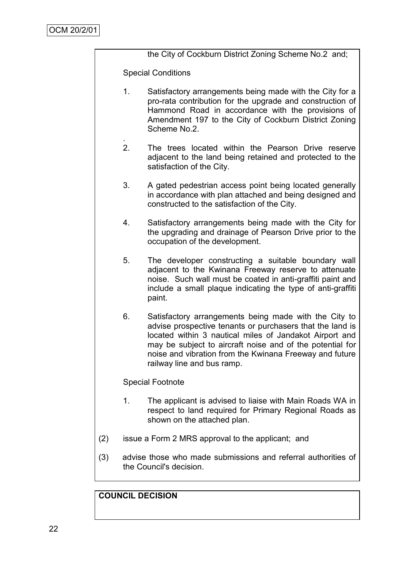|     | the City of Cockburn District Zoning Scheme No.2 and; |                                                                                                                                                                                                                                                                                                                                     |  |  |  |
|-----|-------------------------------------------------------|-------------------------------------------------------------------------------------------------------------------------------------------------------------------------------------------------------------------------------------------------------------------------------------------------------------------------------------|--|--|--|
|     | <b>Special Conditions</b>                             |                                                                                                                                                                                                                                                                                                                                     |  |  |  |
|     | 1.                                                    | Satisfactory arrangements being made with the City for a<br>pro-rata contribution for the upgrade and construction of<br>Hammond Road in accordance with the provisions of<br>Amendment 197 to the City of Cockburn District Zoning<br>Scheme No.2.                                                                                 |  |  |  |
|     | 2.                                                    | The trees located within the Pearson Drive reserve<br>adjacent to the land being retained and protected to the<br>satisfaction of the City.                                                                                                                                                                                         |  |  |  |
|     | 3.                                                    | A gated pedestrian access point being located generally<br>in accordance with plan attached and being designed and<br>constructed to the satisfaction of the City.                                                                                                                                                                  |  |  |  |
|     | 4.                                                    | Satisfactory arrangements being made with the City for<br>the upgrading and drainage of Pearson Drive prior to the<br>occupation of the development.                                                                                                                                                                                |  |  |  |
|     | 5.                                                    | The developer constructing a suitable boundary wall<br>adjacent to the Kwinana Freeway reserve to attenuate<br>noise. Such wall must be coated in anti-graffiti paint and<br>include a small plaque indicating the type of anti-graffiti<br>paint.                                                                                  |  |  |  |
|     | 6.                                                    | Satisfactory arrangements being made with the City to<br>advise prospective tenants or purchasers that the land is<br>located within 3 nautical miles of Jandakot Airport and<br>may be subject to aircraft noise and of the potential for<br>noise and vibration from the Kwinana Freeway and future<br>railway line and bus ramp. |  |  |  |
|     | <b>Special Footnote</b>                               |                                                                                                                                                                                                                                                                                                                                     |  |  |  |
|     | 1.                                                    | The applicant is advised to liaise with Main Roads WA in<br>respect to land required for Primary Regional Roads as<br>shown on the attached plan.                                                                                                                                                                                   |  |  |  |
| (2) | issue a Form 2 MRS approval to the applicant; and     |                                                                                                                                                                                                                                                                                                                                     |  |  |  |

(3) advise those who made submissions and referral authorities of the Council's decision.

# **COUNCIL DECISION**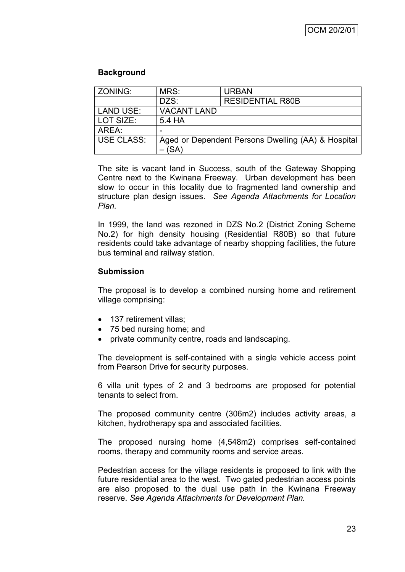## **Background**

| ZONING:           | MRS:                                                       | <b>URBAN</b>            |  |
|-------------------|------------------------------------------------------------|-------------------------|--|
|                   | DZS:                                                       | <b>RESIDENTIAL R80B</b> |  |
| <b>LAND USE:</b>  | <b>VACANT LAND</b>                                         |                         |  |
| LOT SIZE:         | 5.4 HA                                                     |                         |  |
| AREA:             |                                                            |                         |  |
| <b>USE CLASS:</b> | Aged or Dependent Persons Dwelling (AA) & Hospital<br>(SA) |                         |  |

The site is vacant land in Success, south of the Gateway Shopping Centre next to the Kwinana Freeway. Urban development has been slow to occur in this locality due to fragmented land ownership and structure plan design issues. *See Agenda Attachments for Location Plan.*

In 1999, the land was rezoned in DZS No.2 (District Zoning Scheme No.2) for high density housing (Residential R80B) so that future residents could take advantage of nearby shopping facilities, the future bus terminal and railway station.

## **Submission**

The proposal is to develop a combined nursing home and retirement village comprising:

- 137 retirement villas:
- 75 bed nursing home; and
- private community centre, roads and landscaping.

The development is self-contained with a single vehicle access point from Pearson Drive for security purposes.

6 villa unit types of 2 and 3 bedrooms are proposed for potential tenants to select from.

The proposed community centre (306m2) includes activity areas, a kitchen, hydrotherapy spa and associated facilities.

The proposed nursing home (4,548m2) comprises self-contained rooms, therapy and community rooms and service areas.

Pedestrian access for the village residents is proposed to link with the future residential area to the west. Two gated pedestrian access points are also proposed to the dual use path in the Kwinana Freeway reserve. *See Agenda Attachments for Development Plan.*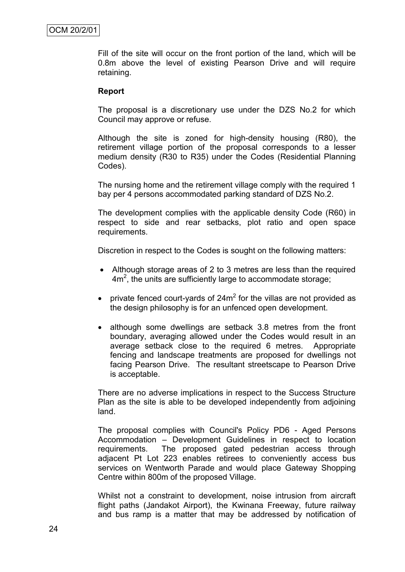Fill of the site will occur on the front portion of the land, which will be 0.8m above the level of existing Pearson Drive and will require retaining.

## **Report**

The proposal is a discretionary use under the DZS No.2 for which Council may approve or refuse.

Although the site is zoned for high-density housing (R80), the retirement village portion of the proposal corresponds to a lesser medium density (R30 to R35) under the Codes (Residential Planning Codes).

The nursing home and the retirement village comply with the required 1 bay per 4 persons accommodated parking standard of DZS No.2.

The development complies with the applicable density Code (R60) in respect to side and rear setbacks, plot ratio and open space requirements.

Discretion in respect to the Codes is sought on the following matters:

- Although storage areas of 2 to 3 metres are less than the required  $4m<sup>2</sup>$ , the units are sufficiently large to accommodate storage;
- private fenced court-yards of  $24m^2$  for the villas are not provided as the design philosophy is for an unfenced open development.
- although some dwellings are setback 3.8 metres from the front boundary, averaging allowed under the Codes would result in an average setback close to the required 6 metres. Appropriate fencing and landscape treatments are proposed for dwellings not facing Pearson Drive. The resultant streetscape to Pearson Drive is acceptable.

There are no adverse implications in respect to the Success Structure Plan as the site is able to be developed independently from adjoining land.

The proposal complies with Council's Policy PD6 - Aged Persons Accommodation – Development Guidelines in respect to location requirements. The proposed gated pedestrian access through adjacent Pt Lot 223 enables retirees to conveniently access bus services on Wentworth Parade and would place Gateway Shopping Centre within 800m of the proposed Village.

Whilst not a constraint to development, noise intrusion from aircraft flight paths (Jandakot Airport), the Kwinana Freeway, future railway and bus ramp is a matter that may be addressed by notification of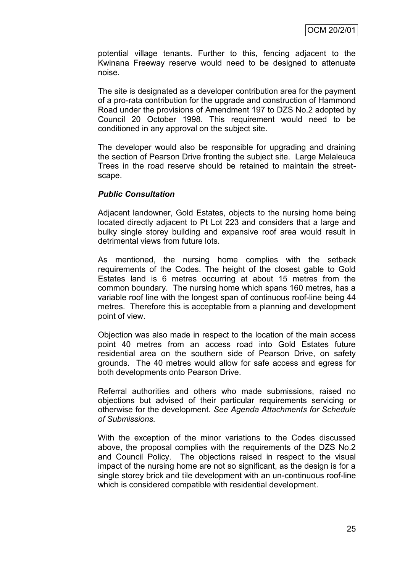potential village tenants. Further to this, fencing adjacent to the Kwinana Freeway reserve would need to be designed to attenuate noise.

The site is designated as a developer contribution area for the payment of a pro-rata contribution for the upgrade and construction of Hammond Road under the provisions of Amendment 197 to DZS No.2 adopted by Council 20 October 1998. This requirement would need to be conditioned in any approval on the subject site.

The developer would also be responsible for upgrading and draining the section of Pearson Drive fronting the subject site. Large Melaleuca Trees in the road reserve should be retained to maintain the streetscape.

## *Public Consultation*

Adjacent landowner, Gold Estates, objects to the nursing home being located directly adjacent to Pt Lot 223 and considers that a large and bulky single storey building and expansive roof area would result in detrimental views from future lots.

As mentioned, the nursing home complies with the setback requirements of the Codes. The height of the closest gable to Gold Estates land is 6 metres occurring at about 15 metres from the common boundary. The nursing home which spans 160 metres, has a variable roof line with the longest span of continuous roof-line being 44 metres. Therefore this is acceptable from a planning and development point of view.

Objection was also made in respect to the location of the main access point 40 metres from an access road into Gold Estates future residential area on the southern side of Pearson Drive, on safety grounds. The 40 metres would allow for safe access and egress for both developments onto Pearson Drive.

Referral authorities and others who made submissions, raised no objections but advised of their particular requirements servicing or otherwise for the development. *See Agenda Attachments for Schedule of Submissions.*

With the exception of the minor variations to the Codes discussed above, the proposal complies with the requirements of the DZS No.2 and Council Policy. The objections raised in respect to the visual impact of the nursing home are not so significant, as the design is for a single storey brick and tile development with an un-continuous roof-line which is considered compatible with residential development.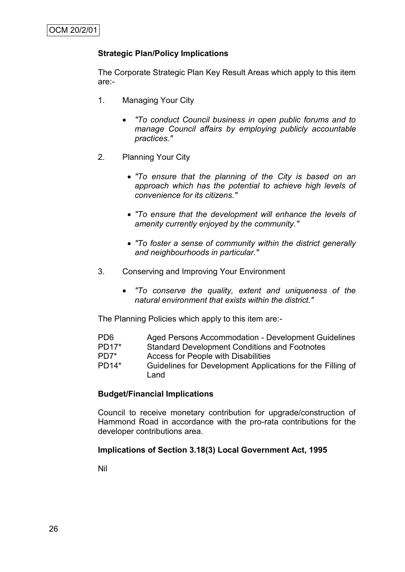## **Strategic Plan/Policy Implications**

The Corporate Strategic Plan Key Result Areas which apply to this item are:-

- 1. Managing Your City
	- *"To conduct Council business in open public forums and to manage Council affairs by employing publicly accountable practices."*
- 2. Planning Your City
	- *"To ensure that the planning of the City is based on an approach which has the potential to achieve high levels of convenience for its citizens."*
	- *"To ensure that the development will enhance the levels of amenity currently enjoyed by the community."*
	- *"To foster a sense of community within the district generally and neighbourhoods in particular."*
- 3. Conserving and Improving Your Environment
	- *"To conserve the quality, extent and uniqueness of the natural environment that exists within the district."*

The Planning Policies which apply to this item are:-

- PD6 Aged Persons Accommodation Development Guidelines
- PD17\* Standard Development Conditions and Footnotes
- PD7\* Access for People with Disabilities
- PD14\* Guidelines for Development Applications for the Filling of Land

## **Budget/Financial Implications**

Council to receive monetary contribution for upgrade/construction of Hammond Road in accordance with the pro-rata contributions for the developer contributions area.

## **Implications of Section 3.18(3) Local Government Act, 1995**

Nil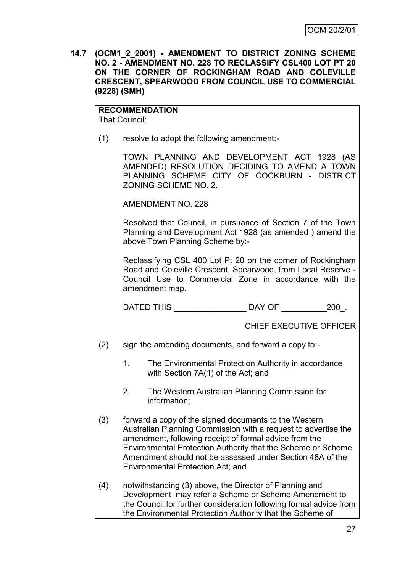| 14.7 (OCM1_2_2001) - AMENDMENT TO DISTRICT ZONING SCHEME  |
|-----------------------------------------------------------|
| NO. 2 - AMENDMENT NO. 228 TO RECLASSIFY CSL400 LOT PT 20  |
| ON THE CORNER OF ROCKINGHAM ROAD AND COLEVILLE            |
| <b>CRESCENT, SPEARWOOD FROM COUNCIL USE TO COMMERCIAL</b> |
| $(9228)$ (SMH)                                            |

# **RECOMMENDATION**

That Council:

(1) resolve to adopt the following amendment:-

TOWN PLANNING AND DEVELOPMENT ACT 1928 (AS AMENDED) RESOLUTION DECIDING TO AMEND A TOWN PLANNING SCHEME CITY OF COCKBURN - DISTRICT ZONING SCHEME NO. 2.

AMENDMENT NO. 228

Resolved that Council, in pursuance of Section 7 of the Town Planning and Development Act 1928 (as amended ) amend the above Town Planning Scheme by:-

Reclassifying CSL 400 Lot Pt 20 on the corner of Rockingham Road and Coleville Crescent, Spearwood, from Local Reserve - Council Use to Commercial Zone in accordance with the amendment map.

DATED THIS \_\_\_\_\_\_\_\_\_\_\_\_\_\_\_\_ DAY OF \_\_\_\_\_\_\_\_\_\_200\_.

# CHIEF EXECUTIVE OFFICER

(2) sign the amending documents, and forward a copy to:-

- 1. The Environmental Protection Authority in accordance with Section 7A(1) of the Act; and
- 2. The Western Australian Planning Commission for information;
- (3) forward a copy of the signed documents to the Western Australian Planning Commission with a request to advertise the amendment, following receipt of formal advice from the Environmental Protection Authority that the Scheme or Scheme Amendment should not be assessed under Section 48A of the Environmental Protection Act; and
- (4) notwithstanding (3) above, the Director of Planning and Development may refer a Scheme or Scheme Amendment to the Council for further consideration following formal advice from the Environmental Protection Authority that the Scheme of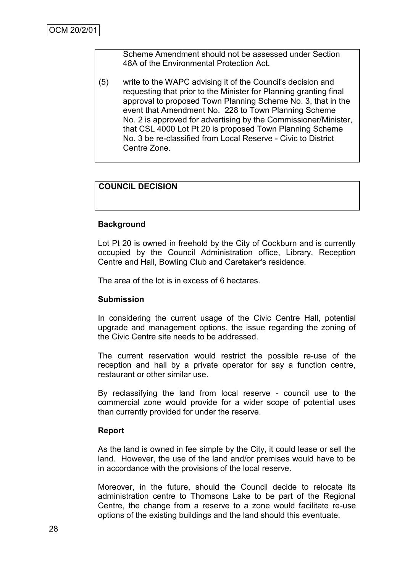Scheme Amendment should not be assessed under Section 48A of the Environmental Protection Act.

(5) write to the WAPC advising it of the Council's decision and requesting that prior to the Minister for Planning granting final approval to proposed Town Planning Scheme No. 3, that in the event that Amendment No. 228 to Town Planning Scheme No. 2 is approved for advertising by the Commissioner/Minister, that CSL 4000 Lot Pt 20 is proposed Town Planning Scheme No. 3 be re-classified from Local Reserve - Civic to District Centre Zone.

# **COUNCIL DECISION**

#### **Background**

Lot Pt 20 is owned in freehold by the City of Cockburn and is currently occupied by the Council Administration office, Library, Reception Centre and Hall, Bowling Club and Caretaker's residence.

The area of the lot is in excess of 6 hectares.

#### **Submission**

In considering the current usage of the Civic Centre Hall, potential upgrade and management options, the issue regarding the zoning of the Civic Centre site needs to be addressed.

The current reservation would restrict the possible re-use of the reception and hall by a private operator for say a function centre, restaurant or other similar use.

By reclassifying the land from local reserve - council use to the commercial zone would provide for a wider scope of potential uses than currently provided for under the reserve.

#### **Report**

As the land is owned in fee simple by the City, it could lease or sell the land. However, the use of the land and/or premises would have to be in accordance with the provisions of the local reserve.

Moreover, in the future, should the Council decide to relocate its administration centre to Thomsons Lake to be part of the Regional Centre, the change from a reserve to a zone would facilitate re-use options of the existing buildings and the land should this eventuate.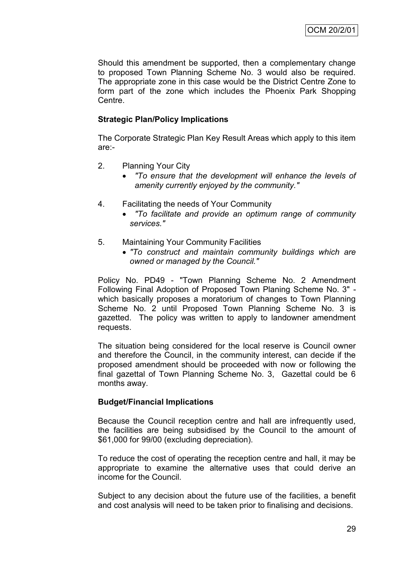Should this amendment be supported, then a complementary change to proposed Town Planning Scheme No. 3 would also be required. The appropriate zone in this case would be the District Centre Zone to form part of the zone which includes the Phoenix Park Shopping Centre.

## **Strategic Plan/Policy Implications**

The Corporate Strategic Plan Key Result Areas which apply to this item are:-

- 2. Planning Your City
	- *"To ensure that the development will enhance the levels of amenity currently enjoyed by the community."*
- 4. Facilitating the needs of Your Community
	- *"To facilitate and provide an optimum range of community services."*
- 5. Maintaining Your Community Facilities
	- *"To construct and maintain community buildings which are owned or managed by the Council."*

Policy No. PD49 - "Town Planning Scheme No. 2 Amendment Following Final Adoption of Proposed Town Planing Scheme No. 3" which basically proposes a moratorium of changes to Town Planning Scheme No. 2 until Proposed Town Planning Scheme No. 3 is gazetted. The policy was written to apply to landowner amendment requests.

The situation being considered for the local reserve is Council owner and therefore the Council, in the community interest, can decide if the proposed amendment should be proceeded with now or following the final gazettal of Town Planning Scheme No. 3, Gazettal could be 6 months away.

# **Budget/Financial Implications**

Because the Council reception centre and hall are infrequently used, the facilities are being subsidised by the Council to the amount of \$61,000 for 99/00 (excluding depreciation).

To reduce the cost of operating the reception centre and hall, it may be appropriate to examine the alternative uses that could derive an income for the Council.

Subject to any decision about the future use of the facilities, a benefit and cost analysis will need to be taken prior to finalising and decisions.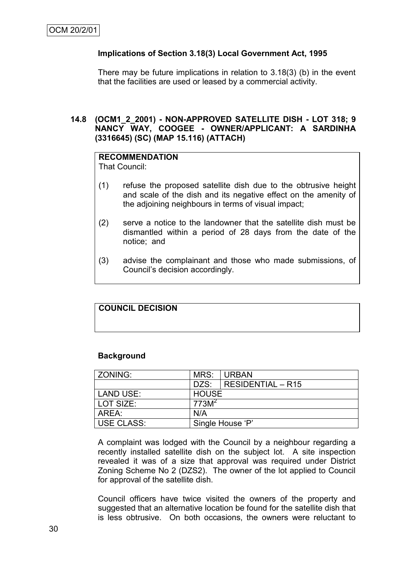## **Implications of Section 3.18(3) Local Government Act, 1995**

There may be future implications in relation to 3.18(3) (b) in the event that the facilities are used or leased by a commercial activity.

## **14.8 (OCM1\_2\_2001) - NON-APPROVED SATELLITE DISH - LOT 318; 9 NANCY WAY, COOGEE - OWNER/APPLICANT: A SARDINHA (3316645) (SC) (MAP 15.116) (ATTACH)**

# **RECOMMENDATION**

That Council:

- (1) refuse the proposed satellite dish due to the obtrusive height and scale of the dish and its negative effect on the amenity of the adjoining neighbours in terms of visual impact;
- (2) serve a notice to the landowner that the satellite dish must be dismantled within a period of 28 days from the date of the notice; and
- (3) advise the complainant and those who made submissions, of Council"s decision accordingly.

# **COUNCIL DECISION**

## **Background**

| ZONING:           | MRS:              | <b>URBAN</b>        |  |
|-------------------|-------------------|---------------------|--|
|                   | DZS:              | $RESIDENTIAL - R15$ |  |
| LAND USE:         | <b>HOUSE</b>      |                     |  |
| LOT SIZE:         | 773M <sup>2</sup> |                     |  |
| AREA:<br>N/A      |                   |                     |  |
| <b>USE CLASS:</b> | Single House 'P'  |                     |  |

A complaint was lodged with the Council by a neighbour regarding a recently installed satellite dish on the subject lot. A site inspection revealed it was of a size that approval was required under District Zoning Scheme No 2 (DZS2). The owner of the lot applied to Council for approval of the satellite dish.

Council officers have twice visited the owners of the property and suggested that an alternative location be found for the satellite dish that is less obtrusive. On both occasions, the owners were reluctant to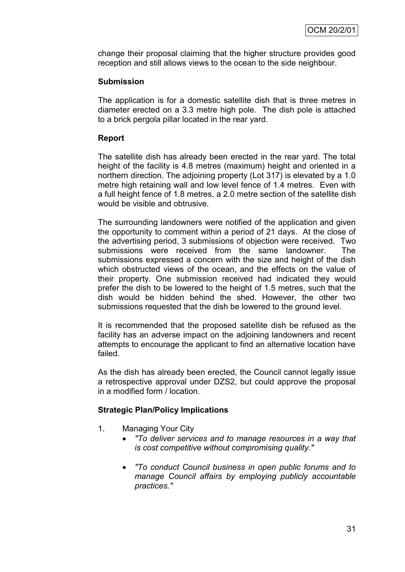change their proposal claiming that the higher structure provides good reception and still allows views to the ocean to the side neighbour.

# **Submission**

The application is for a domestic satellite dish that is three metres in diameter erected on a 3.3 metre high pole. The dish pole is attached to a brick pergola pillar located in the rear yard.

# **Report**

The satellite dish has already been erected in the rear yard. The total height of the facility is 4.8 metres (maximum) height and oriented in a northern direction. The adjoining property (Lot 317) is elevated by a 1.0 metre high retaining wall and low level fence of 1.4 metres. Even with a full height fence of 1.8 metres, a 2.0 metre section of the satellite dish would be visible and obtrusive.

The surrounding landowners were notified of the application and given the opportunity to comment within a period of 21 days. At the close of the advertising period, 3 submissions of objection were received. Two submissions were received from the same landowner. The submissions expressed a concern with the size and height of the dish which obstructed views of the ocean, and the effects on the value of their property. One submission received had indicated they would prefer the dish to be lowered to the height of 1.5 metres, such that the dish would be hidden behind the shed. However, the other two submissions requested that the dish be lowered to the ground level.

It is recommended that the proposed satellite dish be refused as the facility has an adverse impact on the adjoining landowners and recent attempts to encourage the applicant to find an alternative location have failed.

As the dish has already been erected, the Council cannot legally issue a retrospective approval under DZS2, but could approve the proposal in a modified form / location.

# **Strategic Plan/Policy Implications**

- 1. Managing Your City
	- *"To deliver services and to manage resources in a way that is cost competitive without compromising quality."*
	- *"To conduct Council business in open public forums and to manage Council affairs by employing publicly accountable practices."*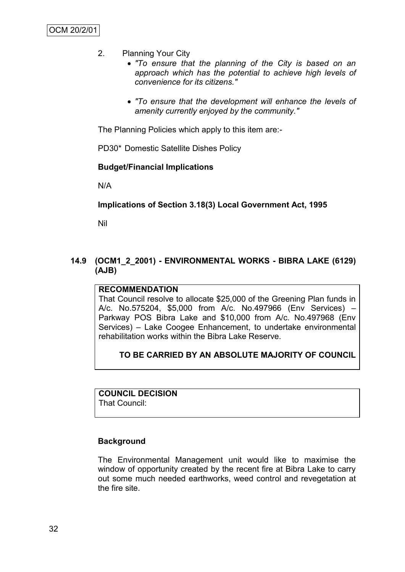- 2. Planning Your City
	- *"To ensure that the planning of the City is based on an approach which has the potential to achieve high levels of convenience for its citizens."*
	- *"To ensure that the development will enhance the levels of amenity currently enjoyed by the community."*

The Planning Policies which apply to this item are:-

PD30\* Domestic Satellite Dishes Policy

#### **Budget/Financial Implications**

N/A

# **Implications of Section 3.18(3) Local Government Act, 1995**

Nil

**14.9 (OCM1\_2\_2001) - ENVIRONMENTAL WORKS - BIBRA LAKE (6129) (AJB)**

#### **RECOMMENDATION**

That Council resolve to allocate \$25,000 of the Greening Plan funds in A/c. No.575204, \$5,000 from A/c. No.497966 (Env Services) – Parkway POS Bibra Lake and \$10,000 from A/c. No.497968 (Env Services) – Lake Coogee Enhancement, to undertake environmental rehabilitation works within the Bibra Lake Reserve.

# **TO BE CARRIED BY AN ABSOLUTE MAJORITY OF COUNCIL**

**COUNCIL DECISION** That Council:

# **Background**

The Environmental Management unit would like to maximise the window of opportunity created by the recent fire at Bibra Lake to carry out some much needed earthworks, weed control and revegetation at the fire site.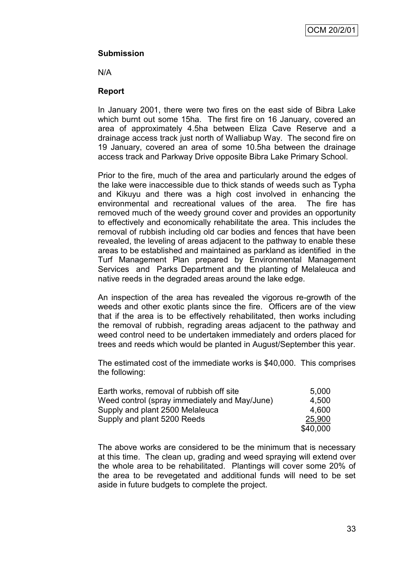# **Submission**

N/A

# **Report**

In January 2001, there were two fires on the east side of Bibra Lake which burnt out some 15ha. The first fire on 16 January, covered an area of approximately 4.5ha between Eliza Cave Reserve and a drainage access track just north of Walliabup Way. The second fire on 19 January, covered an area of some 10.5ha between the drainage access track and Parkway Drive opposite Bibra Lake Primary School.

Prior to the fire, much of the area and particularly around the edges of the lake were inaccessible due to thick stands of weeds such as Typha and Kikuyu and there was a high cost involved in enhancing the environmental and recreational values of the area. The fire has removed much of the weedy ground cover and provides an opportunity to effectively and economically rehabilitate the area. This includes the removal of rubbish including old car bodies and fences that have been revealed, the leveling of areas adjacent to the pathway to enable these areas to be established and maintained as parkland as identified in the Turf Management Plan prepared by Environmental Management Services and Parks Department and the planting of Melaleuca and native reeds in the degraded areas around the lake edge.

An inspection of the area has revealed the vigorous re-growth of the weeds and other exotic plants since the fire. Officers are of the view that if the area is to be effectively rehabilitated, then works including the removal of rubbish, regrading areas adjacent to the pathway and weed control need to be undertaken immediately and orders placed for trees and reeds which would be planted in August/September this year.

The estimated cost of the immediate works is \$40,000. This comprises the following:

| Earth works, removal of rubbish off site      | 5.000    |
|-----------------------------------------------|----------|
| Weed control (spray immediately and May/June) | 4,500    |
| Supply and plant 2500 Melaleuca               | 4.600    |
| Supply and plant 5200 Reeds                   | 25,900   |
|                                               | \$40,000 |

The above works are considered to be the minimum that is necessary at this time. The clean up, grading and weed spraying will extend over the whole area to be rehabilitated. Plantings will cover some 20% of the area to be revegetated and additional funds will need to be set aside in future budgets to complete the project.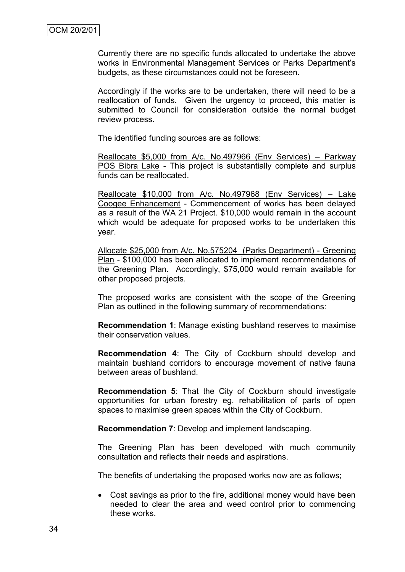Currently there are no specific funds allocated to undertake the above works in Environmental Management Services or Parks Department"s budgets, as these circumstances could not be foreseen.

Accordingly if the works are to be undertaken, there will need to be a reallocation of funds. Given the urgency to proceed, this matter is submitted to Council for consideration outside the normal budget review process.

The identified funding sources are as follows:

Reallocate \$5,000 from A/c. No.497966 (Env Services) – Parkway POS Bibra Lake - This project is substantially complete and surplus funds can be reallocated.

Reallocate \$10,000 from A/c. No.497968 (Env Services) – Lake Coogee Enhancement - Commencement of works has been delayed as a result of the WA 21 Project. \$10,000 would remain in the account which would be adequate for proposed works to be undertaken this year.

Allocate \$25,000 from A/c. No.575204 (Parks Department) - Greening Plan - \$100,000 has been allocated to implement recommendations of the Greening Plan. Accordingly, \$75,000 would remain available for other proposed projects.

The proposed works are consistent with the scope of the Greening Plan as outlined in the following summary of recommendations:

**Recommendation 1**: Manage existing bushland reserves to maximise their conservation values.

**Recommendation 4**: The City of Cockburn should develop and maintain bushland corridors to encourage movement of native fauna between areas of bushland.

**Recommendation 5**: That the City of Cockburn should investigate opportunities for urban forestry eg. rehabilitation of parts of open spaces to maximise green spaces within the City of Cockburn.

**Recommendation 7**: Develop and implement landscaping.

The Greening Plan has been developed with much community consultation and reflects their needs and aspirations.

The benefits of undertaking the proposed works now are as follows;

 Cost savings as prior to the fire, additional money would have been needed to clear the area and weed control prior to commencing these works.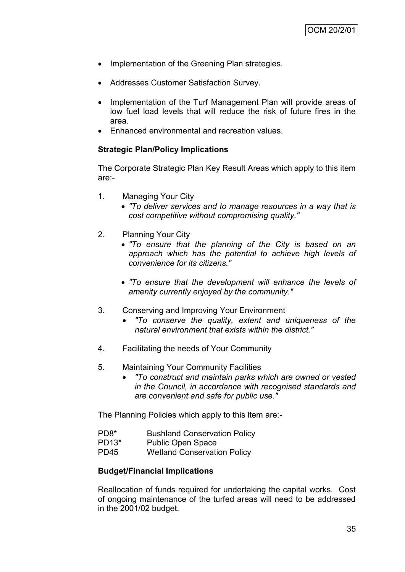- Implementation of the Greening Plan strategies.
- Addresses Customer Satisfaction Survey.
- Implementation of the Turf Management Plan will provide areas of low fuel load levels that will reduce the risk of future fires in the area.
- Enhanced environmental and recreation values.

# **Strategic Plan/Policy Implications**

The Corporate Strategic Plan Key Result Areas which apply to this item are:-

- 1. Managing Your City
	- *"To deliver services and to manage resources in a way that is cost competitive without compromising quality."*
- 2. Planning Your City
	- *"To ensure that the planning of the City is based on an approach which has the potential to achieve high levels of convenience for its citizens."*
	- *"To ensure that the development will enhance the levels of amenity currently enjoyed by the community."*
- 3. Conserving and Improving Your Environment
	- *"To conserve the quality, extent and uniqueness of the natural environment that exists within the district."*
- 4. Facilitating the needs of Your Community
- 5. Maintaining Your Community Facilities
	- *"To construct and maintain parks which are owned or vested in the Council, in accordance with recognised standards and are convenient and safe for public use."*

The Planning Policies which apply to this item are:-

- PD8\* Bushland Conservation Policy
- PD13\* Public Open Space
- PD45 Wetland Conservation Policy

# **Budget/Financial Implications**

Reallocation of funds required for undertaking the capital works. Cost of ongoing maintenance of the turfed areas will need to be addressed in the 2001/02 budget.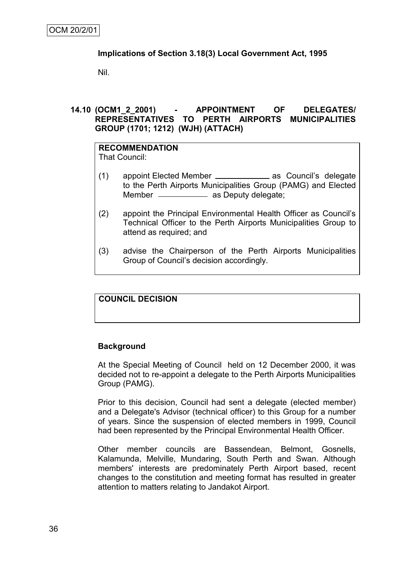# **Implications of Section 3.18(3) Local Government Act, 1995**

Nil.

# **14.10 (OCM1\_2\_2001) - APPOINTMENT OF DELEGATES/ REPRESENTATIVES TO PERTH AIRPORTS MUNICIPALITIES GROUP (1701; 1212) (WJH) (ATTACH)**

# **RECOMMENDATION**

That Council:

- (1) appoint Elected Member \_\_\_\_\_\_\_\_\_\_\_\_\_\_\_ as Council's delegate to the Perth Airports Municipalities Group (PAMG) and Elected Member \_\_\_\_\_\_\_\_\_\_\_\_\_ as Deputy delegate;
- (2) appoint the Principal Environmental Health Officer as Council"s Technical Officer to the Perth Airports Municipalities Group to attend as required; and
- (3) advise the Chairperson of the Perth Airports Municipalities Group of Council"s decision accordingly.

# **COUNCIL DECISION**

# **Background**

At the Special Meeting of Council held on 12 December 2000, it was decided not to re-appoint a delegate to the Perth Airports Municipalities Group (PAMG).

Prior to this decision, Council had sent a delegate (elected member) and a Delegate's Advisor (technical officer) to this Group for a number of years. Since the suspension of elected members in 1999, Council had been represented by the Principal Environmental Health Officer.

Other member councils are Bassendean, Belmont, Gosnells, Kalamunda, Melville, Mundaring, South Perth and Swan. Although members' interests are predominately Perth Airport based, recent changes to the constitution and meeting format has resulted in greater attention to matters relating to Jandakot Airport.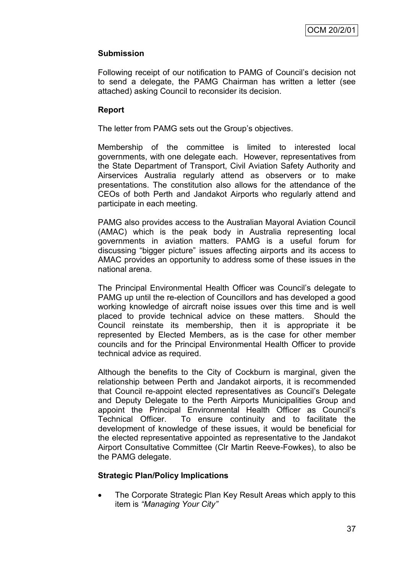# **Submission**

Following receipt of our notification to PAMG of Council"s decision not to send a delegate, the PAMG Chairman has written a letter (see attached) asking Council to reconsider its decision.

# **Report**

The letter from PAMG sets out the Group's objectives.

Membership of the committee is limited to interested local governments, with one delegate each. However, representatives from the State Department of Transport, Civil Aviation Safety Authority and Airservices Australia regularly attend as observers or to make presentations. The constitution also allows for the attendance of the CEOs of both Perth and Jandakot Airports who regularly attend and participate in each meeting.

PAMG also provides access to the Australian Mayoral Aviation Council (AMAC) which is the peak body in Australia representing local governments in aviation matters. PAMG is a useful forum for discussing "bigger picture" issues affecting airports and its access to AMAC provides an opportunity to address some of these issues in the national arena.

The Principal Environmental Health Officer was Council"s delegate to PAMG up until the re-election of Councillors and has developed a good working knowledge of aircraft noise issues over this time and is well placed to provide technical advice on these matters. Should the Council reinstate its membership, then it is appropriate it be represented by Elected Members, as is the case for other member councils and for the Principal Environmental Health Officer to provide technical advice as required.

Although the benefits to the City of Cockburn is marginal, given the relationship between Perth and Jandakot airports, it is recommended that Council re-appoint elected representatives as Council"s Delegate and Deputy Delegate to the Perth Airports Municipalities Group and appoint the Principal Environmental Health Officer as Council"s Technical Officer. To ensure continuity and to facilitate the development of knowledge of these issues, it would be beneficial for the elected representative appointed as representative to the Jandakot Airport Consultative Committee (Clr Martin Reeve-Fowkes), to also be the PAMG delegate.

# **Strategic Plan/Policy Implications**

• The Corporate Strategic Plan Key Result Areas which apply to this item is *"Managing Your City"*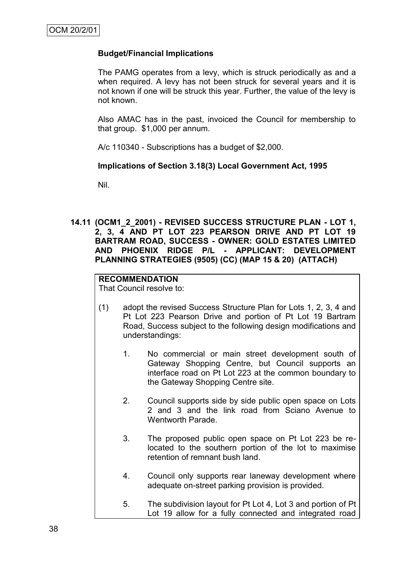#### **Budget/Financial Implications**

The PAMG operates from a levy, which is struck periodically as and a when required. A levy has not been struck for several years and it is not known if one will be struck this year. Further, the value of the levy is not known.

Also AMAC has in the past, invoiced the Council for membership to that group. \$1,000 per annum.

A/c 110340 - Subscriptions has a budget of \$2,000.

#### **Implications of Section 3.18(3) Local Government Act, 1995**

Nil.

**14.11 (OCM1\_2\_2001) - REVISED SUCCESS STRUCTURE PLAN - LOT 1, 2, 3, 4 AND PT LOT 223 PEARSON DRIVE AND PT LOT 19 BARTRAM ROAD, SUCCESS - OWNER: GOLD ESTATES LIMITED AND PHOENIX RIDGE P/L - APPLICANT: DEVELOPMENT PLANNING STRATEGIES (9505) (CC) (MAP 15 & 20) (ATTACH)**

# **RECOMMENDATION**

That Council resolve to:

- (1) adopt the revised Success Structure Plan for Lots 1, 2, 3, 4 and Pt Lot 223 Pearson Drive and portion of Pt Lot 19 Bartram Road, Success subject to the following design modifications and understandings:
	- 1. No commercial or main street development south of Gateway Shopping Centre, but Council supports an interface road on Pt Lot 223 at the common boundary to the Gateway Shopping Centre site.
	- 2. Council supports side by side public open space on Lots 2 and 3 and the link road from Sciano Avenue to Wentworth Parade.
	- 3. The proposed public open space on Pt Lot 223 be relocated to the southern portion of the lot to maximise retention of remnant bush land.
	- 4. Council only supports rear laneway development where adequate on-street parking provision is provided.
	- 5. The subdivision layout for Pt Lot 4, Lot 3 and portion of Pt Lot 19 allow for a fully connected and integrated road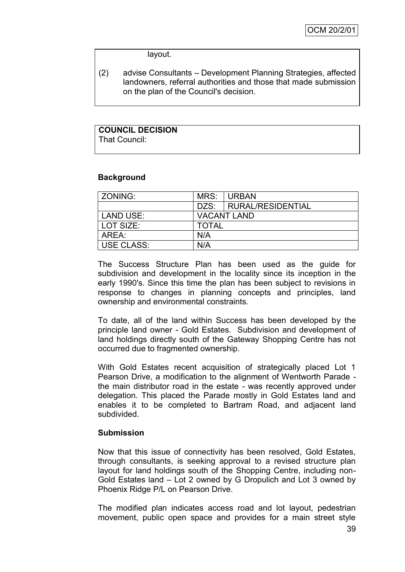layout.

(2) advise Consultants – Development Planning Strategies, affected landowners, referral authorities and those that made submission on the plan of the Council's decision.

#### **COUNCIL DECISION** That Council:

# **Background**

| ZONING:           | MRS:               | <b>URBAN</b>      |
|-------------------|--------------------|-------------------|
|                   | DZS:               | RURAL/RESIDENTIAL |
| LAND USE:         | <b>VACANT LAND</b> |                   |
| LOT SIZE:         | <b>TOTAL</b>       |                   |
| AREA:             | N/A                |                   |
| <b>USE CLASS:</b> | N/A                |                   |

The Success Structure Plan has been used as the guide for subdivision and development in the locality since its inception in the early 1990's. Since this time the plan has been subject to revisions in response to changes in planning concepts and principles, land ownership and environmental constraints.

To date, all of the land within Success has been developed by the principle land owner - Gold Estates. Subdivision and development of land holdings directly south of the Gateway Shopping Centre has not occurred due to fragmented ownership.

With Gold Estates recent acquisition of strategically placed Lot 1 Pearson Drive, a modification to the alignment of Wentworth Parade the main distributor road in the estate - was recently approved under delegation. This placed the Parade mostly in Gold Estates land and enables it to be completed to Bartram Road, and adjacent land subdivided.

# **Submission**

Now that this issue of connectivity has been resolved, Gold Estates, through consultants, is seeking approval to a revised structure plan layout for land holdings south of the Shopping Centre, including non-Gold Estates land – Lot 2 owned by G Dropulich and Lot 3 owned by Phoenix Ridge P/L on Pearson Drive.

The modified plan indicates access road and lot layout, pedestrian movement, public open space and provides for a main street style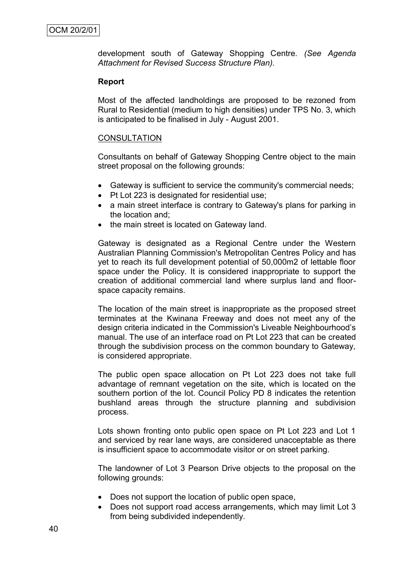development south of Gateway Shopping Centre*. (See Agenda Attachment for Revised Success Structure Plan).*

#### **Report**

Most of the affected landholdings are proposed to be rezoned from Rural to Residential (medium to high densities) under TPS No. 3, which is anticipated to be finalised in July - August 2001.

# **CONSULTATION**

Consultants on behalf of Gateway Shopping Centre object to the main street proposal on the following grounds:

- Gateway is sufficient to service the community's commercial needs;
- Pt Lot 223 is designated for residential use;
- a main street interface is contrary to Gateway's plans for parking in the location and;
- the main street is located on Gateway land.

Gateway is designated as a Regional Centre under the Western Australian Planning Commission's Metropolitan Centres Policy and has yet to reach its full development potential of 50,000m2 of lettable floor space under the Policy. It is considered inappropriate to support the creation of additional commercial land where surplus land and floorspace capacity remains.

The location of the main street is inappropriate as the proposed street terminates at the Kwinana Freeway and does not meet any of the design criteria indicated in the Commission's Liveable Neighbourhood"s manual. The use of an interface road on Pt Lot 223 that can be created through the subdivision process on the common boundary to Gateway, is considered appropriate.

The public open space allocation on Pt Lot 223 does not take full advantage of remnant vegetation on the site, which is located on the southern portion of the lot. Council Policy PD 8 indicates the retention bushland areas through the structure planning and subdivision process.

Lots shown fronting onto public open space on Pt Lot 223 and Lot 1 and serviced by rear lane ways, are considered unacceptable as there is insufficient space to accommodate visitor or on street parking.

The landowner of Lot 3 Pearson Drive objects to the proposal on the following grounds:

- Does not support the location of public open space,
- Does not support road access arrangements, which may limit Lot 3 from being subdivided independently.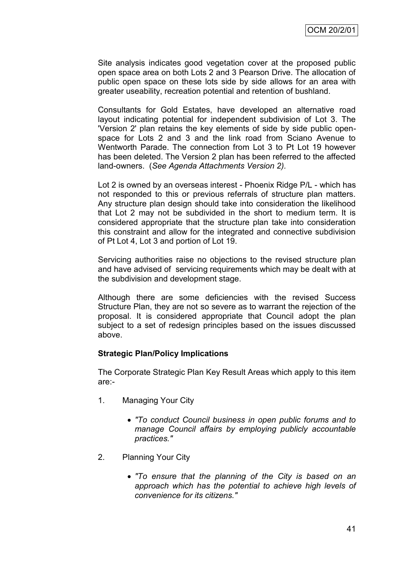Site analysis indicates good vegetation cover at the proposed public open space area on both Lots 2 and 3 Pearson Drive. The allocation of public open space on these lots side by side allows for an area with greater useability, recreation potential and retention of bushland.

Consultants for Gold Estates, have developed an alternative road layout indicating potential for independent subdivision of Lot 3. The 'Version 2' plan retains the key elements of side by side public openspace for Lots 2 and 3 and the link road from Sciano Avenue to Wentworth Parade. The connection from Lot 3 to Pt Lot 19 however has been deleted. The Version 2 plan has been referred to the affected land-owners. (*See Agenda Attachments Version 2).*

Lot 2 is owned by an overseas interest - Phoenix Ridge P/L - which has not responded to this or previous referrals of structure plan matters. Any structure plan design should take into consideration the likelihood that Lot 2 may not be subdivided in the short to medium term. It is considered appropriate that the structure plan take into consideration this constraint and allow for the integrated and connective subdivision of Pt Lot 4, Lot 3 and portion of Lot 19.

Servicing authorities raise no objections to the revised structure plan and have advised of servicing requirements which may be dealt with at the subdivision and development stage.

Although there are some deficiencies with the revised Success Structure Plan, they are not so severe as to warrant the rejection of the proposal. It is considered appropriate that Council adopt the plan subject to a set of redesign principles based on the issues discussed above.

# **Strategic Plan/Policy Implications**

The Corporate Strategic Plan Key Result Areas which apply to this item are:-

- 1. Managing Your City
	- *"To conduct Council business in open public forums and to manage Council affairs by employing publicly accountable practices."*
- 2. Planning Your City
	- *"To ensure that the planning of the City is based on an approach which has the potential to achieve high levels of convenience for its citizens."*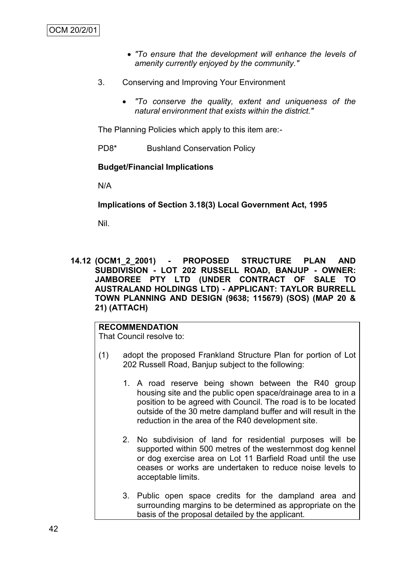- *"To ensure that the development will enhance the levels of amenity currently enjoyed by the community."*
- 3. Conserving and Improving Your Environment
	- *"To conserve the quality, extent and uniqueness of the natural environment that exists within the district."*

The Planning Policies which apply to this item are:-

PD8\* Bushland Conservation Policy

#### **Budget/Financial Implications**

N/A

**Implications of Section 3.18(3) Local Government Act, 1995**

Nil.

**14.12 (OCM1\_2\_2001) - PROPOSED STRUCTURE PLAN AND SUBDIVISION - LOT 202 RUSSELL ROAD, BANJUP - OWNER: JAMBOREE PTY LTD (UNDER CONTRACT OF SALE TO AUSTRALAND HOLDINGS LTD) - APPLICANT: TAYLOR BURRELL TOWN PLANNING AND DESIGN (9638; 115679) (SOS) (MAP 20 & 21) (ATTACH)**

# **RECOMMENDATION**

That Council resolve to:

- (1) adopt the proposed Frankland Structure Plan for portion of Lot 202 Russell Road, Banjup subject to the following:
	- 1. A road reserve being shown between the R40 group housing site and the public open space/drainage area to in a position to be agreed with Council. The road is to be located outside of the 30 metre dampland buffer and will result in the reduction in the area of the R40 development site.
	- 2. No subdivision of land for residential purposes will be supported within 500 metres of the westernmost dog kennel or dog exercise area on Lot 11 Barfield Road until the use ceases or works are undertaken to reduce noise levels to acceptable limits.
	- 3. Public open space credits for the dampland area and surrounding margins to be determined as appropriate on the basis of the proposal detailed by the applicant.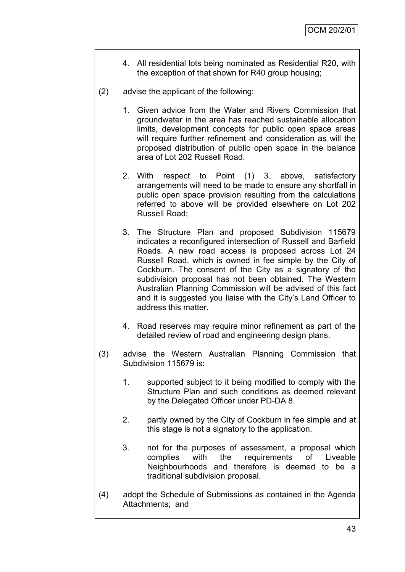- 4. All residential lots being nominated as Residential R20, with the exception of that shown for R40 group housing;
- (2) advise the applicant of the following:
	- 1. Given advice from the Water and Rivers Commission that groundwater in the area has reached sustainable allocation limits, development concepts for public open space areas will require further refinement and consideration as will the proposed distribution of public open space in the balance area of Lot 202 Russell Road.
	- 2. With respect to Point (1) 3. above, satisfactory arrangements will need to be made to ensure any shortfall in public open space provision resulting from the calculations referred to above will be provided elsewhere on Lot 202 Russell Road;
	- 3. The Structure Plan and proposed Subdivision 115679 indicates a reconfigured intersection of Russell and Barfield Roads. A new road access is proposed across Lot 24 Russell Road, which is owned in fee simple by the City of Cockburn. The consent of the City as a signatory of the subdivision proposal has not been obtained. The Western Australian Planning Commission will be advised of this fact and it is suggested you liaise with the City"s Land Officer to address this matter.
	- 4. Road reserves may require minor refinement as part of the detailed review of road and engineering design plans.
- (3) advise the Western Australian Planning Commission that Subdivision 115679 is:
	- 1. supported subject to it being modified to comply with the Structure Plan and such conditions as deemed relevant by the Delegated Officer under PD-DA 8.
	- 2. partly owned by the City of Cockburn in fee simple and at this stage is not a signatory to the application.
	- 3. not for the purposes of assessment, a proposal which complies with the requirements of Liveable Neighbourhoods and therefore is deemed to be a traditional subdivision proposal.
- (4) adopt the Schedule of Submissions as contained in the Agenda Attachments; and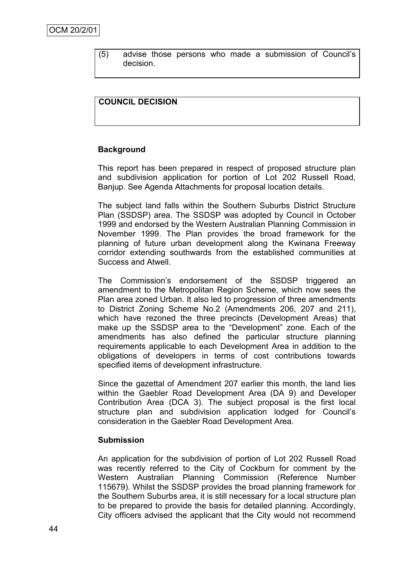(5) advise those persons who made a submission of Council"s decision.

# **COUNCIL DECISION**

# **Background**

This report has been prepared in respect of proposed structure plan and subdivision application for portion of Lot 202 Russell Road, Banjup. See Agenda Attachments for proposal location details.

The subject land falls within the Southern Suburbs District Structure Plan (SSDSP) area. The SSDSP was adopted by Council in October 1999 and endorsed by the Western Australian Planning Commission in November 1999. The Plan provides the broad framework for the planning of future urban development along the Kwinana Freeway corridor extending southwards from the established communities at Success and Atwell.

The Commission"s endorsement of the SSDSP triggered an amendment to the Metropolitan Region Scheme, which now sees the Plan area zoned Urban. It also led to progression of three amendments to District Zoning Scheme No.2 (Amendments 206, 207 and 211), which have rezoned the three precincts (Development Areas) that make up the SSDSP area to the "Development" zone. Each of the amendments has also defined the particular structure planning requirements applicable to each Development Area in addition to the obligations of developers in terms of cost contributions towards specified items of development infrastructure.

Since the gazettal of Amendment 207 earlier this month, the land lies within the Gaebler Road Development Area (DA 9) and Developer Contribution Area (DCA 3). The subject proposal is the first local structure plan and subdivision application lodged for Council"s consideration in the Gaebler Road Development Area.

#### **Submission**

An application for the subdivision of portion of Lot 202 Russell Road was recently referred to the City of Cockburn for comment by the Western Australian Planning Commission (Reference Number 115679). Whilst the SSDSP provides the broad planning framework for the Southern Suburbs area, it is still necessary for a local structure plan to be prepared to provide the basis for detailed planning. Accordingly, City officers advised the applicant that the City would not recommend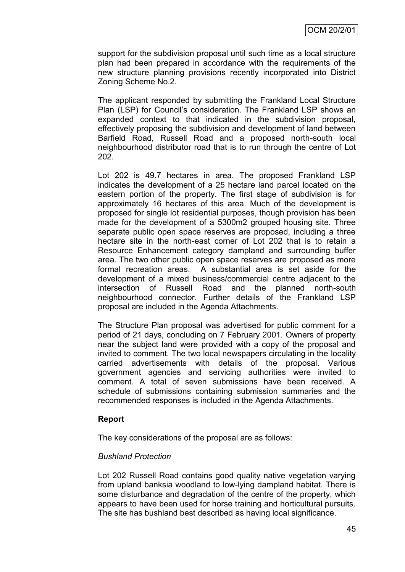support for the subdivision proposal until such time as a local structure plan had been prepared in accordance with the requirements of the new structure planning provisions recently incorporated into District Zoning Scheme No.2.

The applicant responded by submitting the Frankland Local Structure Plan (LSP) for Council"s consideration. The Frankland LSP shows an expanded context to that indicated in the subdivision proposal, effectively proposing the subdivision and development of land between Barfield Road, Russell Road and a proposed north-south local neighbourhood distributor road that is to run through the centre of Lot 202.

Lot 202 is 49.7 hectares in area. The proposed Frankland LSP indicates the development of a 25 hectare land parcel located on the eastern portion of the property. The first stage of subdivision is for approximately 16 hectares of this area. Much of the development is proposed for single lot residential purposes, though provision has been made for the development of a 5300m2 grouped housing site. Three separate public open space reserves are proposed, including a three hectare site in the north-east corner of Lot 202 that is to retain a Resource Enhancement category dampland and surrounding buffer area. The two other public open space reserves are proposed as more formal recreation areas. A substantial area is set aside for the development of a mixed business/commercial centre adjacent to the intersection of Russell Road and the planned north-south neighbourhood connector. Further details of the Frankland LSP proposal are included in the Agenda Attachments.

The Structure Plan proposal was advertised for public comment for a period of 21 days, concluding on 7 February 2001. Owners of property near the subject land were provided with a copy of the proposal and invited to comment. The two local newspapers circulating in the locality carried advertisements with details of the proposal. Various government agencies and servicing authorities were invited to comment. A total of seven submissions have been received. A schedule of submissions containing submission summaries and the recommended responses is included in the Agenda Attachments.

# **Report**

The key considerations of the proposal are as follows:

# *Bushland Protection*

Lot 202 Russell Road contains good quality native vegetation varying from upland banksia woodland to low-lying dampland habitat. There is some disturbance and degradation of the centre of the property, which appears to have been used for horse training and horticultural pursuits. The site has bushland best described as having local significance.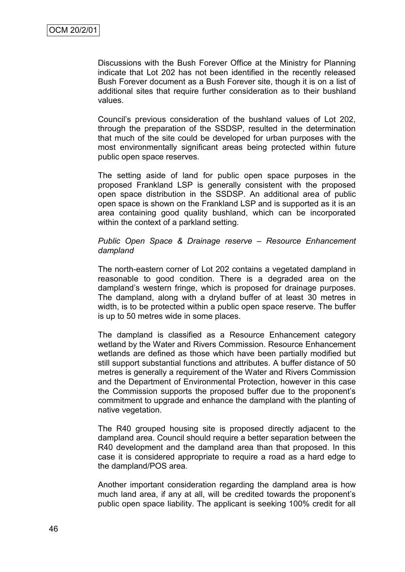Discussions with the Bush Forever Office at the Ministry for Planning indicate that Lot 202 has not been identified in the recently released Bush Forever document as a Bush Forever site, though it is on a list of additional sites that require further consideration as to their bushland values.

Council"s previous consideration of the bushland values of Lot 202, through the preparation of the SSDSP, resulted in the determination that much of the site could be developed for urban purposes with the most environmentally significant areas being protected within future public open space reserves.

The setting aside of land for public open space purposes in the proposed Frankland LSP is generally consistent with the proposed open space distribution in the SSDSP. An additional area of public open space is shown on the Frankland LSP and is supported as it is an area containing good quality bushland, which can be incorporated within the context of a parkland setting.

#### *Public Open Space & Drainage reserve – Resource Enhancement dampland*

The north-eastern corner of Lot 202 contains a vegetated dampland in reasonable to good condition. There is a degraded area on the dampland"s western fringe, which is proposed for drainage purposes. The dampland, along with a dryland buffer of at least 30 metres in width, is to be protected within a public open space reserve. The buffer is up to 50 metres wide in some places.

The dampland is classified as a Resource Enhancement category wetland by the Water and Rivers Commission. Resource Enhancement wetlands are defined as those which have been partially modified but still support substantial functions and attributes. A buffer distance of 50 metres is generally a requirement of the Water and Rivers Commission and the Department of Environmental Protection, however in this case the Commission supports the proposed buffer due to the proponent"s commitment to upgrade and enhance the dampland with the planting of native vegetation.

The R40 grouped housing site is proposed directly adjacent to the dampland area. Council should require a better separation between the R40 development and the dampland area than that proposed. In this case it is considered appropriate to require a road as a hard edge to the dampland/POS area.

Another important consideration regarding the dampland area is how much land area, if any at all, will be credited towards the proponent"s public open space liability. The applicant is seeking 100% credit for all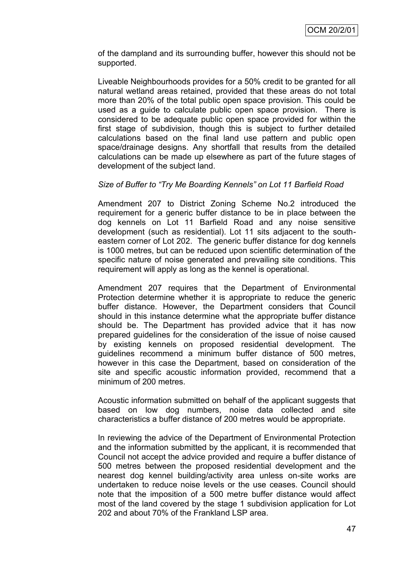of the dampland and its surrounding buffer, however this should not be supported.

Liveable Neighbourhoods provides for a 50% credit to be granted for all natural wetland areas retained, provided that these areas do not total more than 20% of the total public open space provision. This could be used as a guide to calculate public open space provision. There is considered to be adequate public open space provided for within the first stage of subdivision, though this is subject to further detailed calculations based on the final land use pattern and public open space/drainage designs. Any shortfall that results from the detailed calculations can be made up elsewhere as part of the future stages of development of the subject land.

# *Size of Buffer to "Try Me Boarding Kennels" on Lot 11 Barfield Road*

Amendment 207 to District Zoning Scheme No.2 introduced the requirement for a generic buffer distance to be in place between the dog kennels on Lot 11 Barfield Road and any noise sensitive development (such as residential). Lot 11 sits adjacent to the southeastern corner of Lot 202. The generic buffer distance for dog kennels is 1000 metres, but can be reduced upon scientific determination of the specific nature of noise generated and prevailing site conditions. This requirement will apply as long as the kennel is operational.

Amendment 207 requires that the Department of Environmental Protection determine whether it is appropriate to reduce the generic buffer distance. However, the Department considers that Council should in this instance determine what the appropriate buffer distance should be. The Department has provided advice that it has now prepared guidelines for the consideration of the issue of noise caused by existing kennels on proposed residential development. The guidelines recommend a minimum buffer distance of 500 metres, however in this case the Department, based on consideration of the site and specific acoustic information provided, recommend that a minimum of 200 metres.

Acoustic information submitted on behalf of the applicant suggests that based on low dog numbers, noise data collected and site characteristics a buffer distance of 200 metres would be appropriate.

In reviewing the advice of the Department of Environmental Protection and the information submitted by the applicant, it is recommended that Council not accept the advice provided and require a buffer distance of 500 metres between the proposed residential development and the nearest dog kennel building/activity area unless on-site works are undertaken to reduce noise levels or the use ceases. Council should note that the imposition of a 500 metre buffer distance would affect most of the land covered by the stage 1 subdivision application for Lot 202 and about 70% of the Frankland LSP area.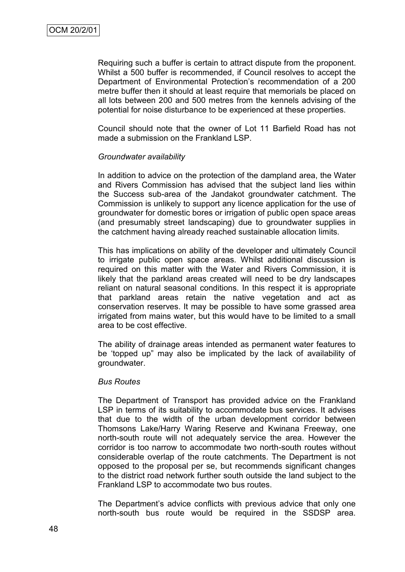Requiring such a buffer is certain to attract dispute from the proponent. Whilst a 500 buffer is recommended, if Council resolves to accept the Department of Environmental Protection"s recommendation of a 200 metre buffer then it should at least require that memorials be placed on all lots between 200 and 500 metres from the kennels advising of the potential for noise disturbance to be experienced at these properties.

Council should note that the owner of Lot 11 Barfield Road has not made a submission on the Frankland LSP.

#### *Groundwater availability*

In addition to advice on the protection of the dampland area, the Water and Rivers Commission has advised that the subject land lies within the Success sub-area of the Jandakot groundwater catchment. The Commission is unlikely to support any licence application for the use of groundwater for domestic bores or irrigation of public open space areas (and presumably street landscaping) due to groundwater supplies in the catchment having already reached sustainable allocation limits.

This has implications on ability of the developer and ultimately Council to irrigate public open space areas. Whilst additional discussion is required on this matter with the Water and Rivers Commission, it is likely that the parkland areas created will need to be dry landscapes reliant on natural seasonal conditions. In this respect it is appropriate that parkland areas retain the native vegetation and act as conservation reserves. It may be possible to have some grassed area irrigated from mains water, but this would have to be limited to a small area to be cost effective.

The ability of drainage areas intended as permanent water features to be "topped up" may also be implicated by the lack of availability of groundwater.

#### *Bus Routes*

The Department of Transport has provided advice on the Frankland LSP in terms of its suitability to accommodate bus services. It advises that due to the width of the urban development corridor between Thomsons Lake/Harry Waring Reserve and Kwinana Freeway, one north-south route will not adequately service the area. However the corridor is too narrow to accommodate two north-south routes without considerable overlap of the route catchments. The Department is not opposed to the proposal per se, but recommends significant changes to the district road network further south outside the land subject to the Frankland LSP to accommodate two bus routes.

The Department's advice conflicts with previous advice that only one north-south bus route would be required in the SSDSP area.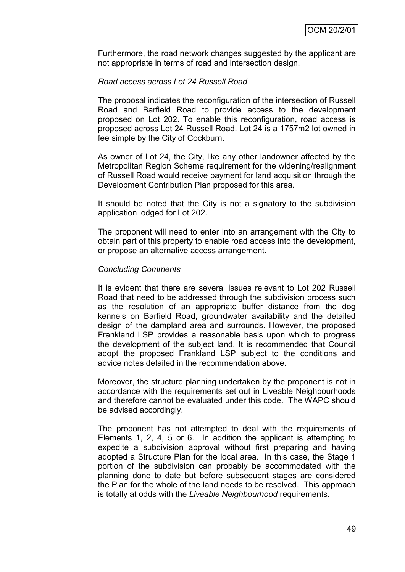Furthermore, the road network changes suggested by the applicant are not appropriate in terms of road and intersection design.

#### *Road access across Lot 24 Russell Road*

The proposal indicates the reconfiguration of the intersection of Russell Road and Barfield Road to provide access to the development proposed on Lot 202. To enable this reconfiguration, road access is proposed across Lot 24 Russell Road. Lot 24 is a 1757m2 lot owned in fee simple by the City of Cockburn.

As owner of Lot 24, the City, like any other landowner affected by the Metropolitan Region Scheme requirement for the widening/realignment of Russell Road would receive payment for land acquisition through the Development Contribution Plan proposed for this area.

It should be noted that the City is not a signatory to the subdivision application lodged for Lot 202.

The proponent will need to enter into an arrangement with the City to obtain part of this property to enable road access into the development, or propose an alternative access arrangement.

#### *Concluding Comments*

It is evident that there are several issues relevant to Lot 202 Russell Road that need to be addressed through the subdivision process such as the resolution of an appropriate buffer distance from the dog kennels on Barfield Road, groundwater availability and the detailed design of the dampland area and surrounds. However, the proposed Frankland LSP provides a reasonable basis upon which to progress the development of the subject land. It is recommended that Council adopt the proposed Frankland LSP subject to the conditions and advice notes detailed in the recommendation above.

Moreover, the structure planning undertaken by the proponent is not in accordance with the requirements set out in Liveable Neighbourhoods and therefore cannot be evaluated under this code. The WAPC should be advised accordingly.

The proponent has not attempted to deal with the requirements of Elements 1, 2, 4, 5 or 6. In addition the applicant is attempting to expedite a subdivision approval without first preparing and having adopted a Structure Plan for the local area. In this case, the Stage 1 portion of the subdivision can probably be accommodated with the planning done to date but before subsequent stages are considered the Plan for the whole of the land needs to be resolved. This approach is totally at odds with the *Liveable Neighbourhood* requirements.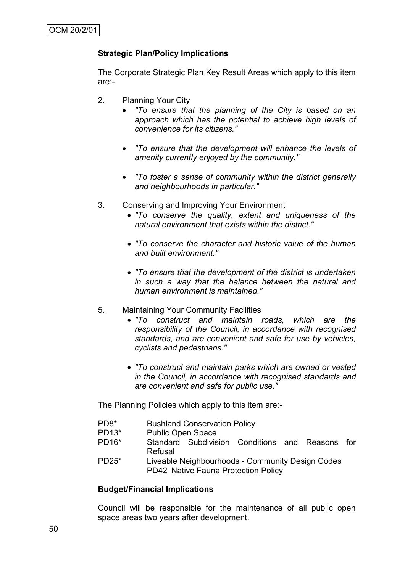# **Strategic Plan/Policy Implications**

The Corporate Strategic Plan Key Result Areas which apply to this item are:-

- 2. Planning Your City
	- *"To ensure that the planning of the City is based on an approach which has the potential to achieve high levels of convenience for its citizens."*
	- *"To ensure that the development will enhance the levels of amenity currently enjoyed by the community."*
	- *"To foster a sense of community within the district generally and neighbourhoods in particular."*
- 3. Conserving and Improving Your Environment
	- *"To conserve the quality, extent and uniqueness of the natural environment that exists within the district."*
	- *"To conserve the character and historic value of the human and built environment."*
	- *"To ensure that the development of the district is undertaken in such a way that the balance between the natural and human environment is maintained."*
- 5. Maintaining Your Community Facilities
	- *"To construct and maintain roads, which are the responsibility of the Council, in accordance with recognised standards, and are convenient and safe for use by vehicles, cyclists and pedestrians."*
	- *"To construct and maintain parks which are owned or vested in the Council, in accordance with recognised standards and are convenient and safe for public use."*

The Planning Policies which apply to this item are:-

- PD8\* Bushland Conservation Policy
- PD13\* Public Open Space
- PD16\* Standard Subdivision Conditions and Reasons for Refusal
- PD25\* Liveable Neighbourhoods Community Design Codes PD42 Native Fauna Protection Policy

#### **Budget/Financial Implications**

Council will be responsible for the maintenance of all public open space areas two years after development.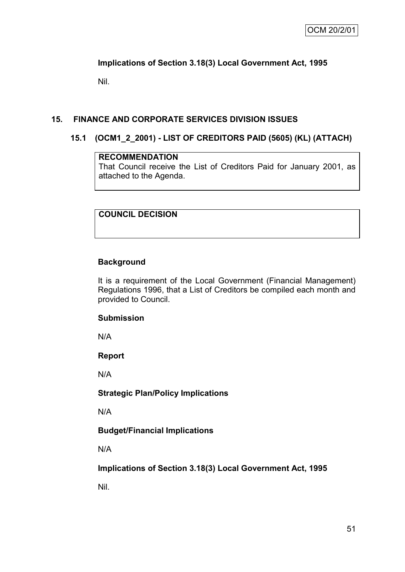# **Implications of Section 3.18(3) Local Government Act, 1995**

Nil.

# **15. FINANCE AND CORPORATE SERVICES DIVISION ISSUES**

# **15.1 (OCM1\_2\_2001) - LIST OF CREDITORS PAID (5605) (KL) (ATTACH)**

# **RECOMMENDATION**

That Council receive the List of Creditors Paid for January 2001, as attached to the Agenda.

**COUNCIL DECISION**

# **Background**

It is a requirement of the Local Government (Financial Management) Regulations 1996, that a List of Creditors be compiled each month and provided to Council.

# **Submission**

N/A

# **Report**

N/A

# **Strategic Plan/Policy Implications**

N/A

# **Budget/Financial Implications**

N/A

**Implications of Section 3.18(3) Local Government Act, 1995**

Nil.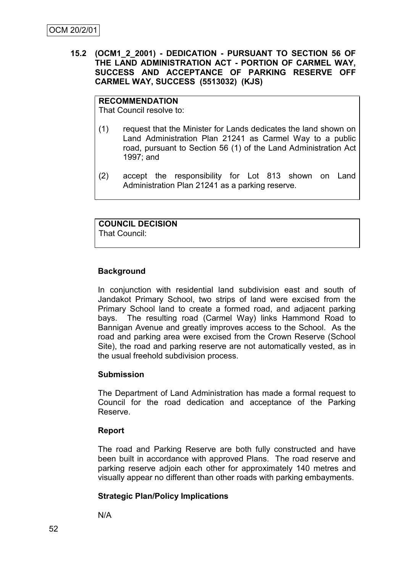# **15.2 (OCM1\_2\_2001) - DEDICATION - PURSUANT TO SECTION 56 OF THE LAND ADMINISTRATION ACT - PORTION OF CARMEL WAY, SUCCESS AND ACCEPTANCE OF PARKING RESERVE OFF CARMEL WAY, SUCCESS (5513032) (KJS)**

#### **RECOMMENDATION**

That Council resolve to:

- (1) request that the Minister for Lands dedicates the land shown on Land Administration Plan 21241 as Carmel Way to a public road, pursuant to Section 56 (1) of the Land Administration Act 1997; and
- (2) accept the responsibility for Lot 813 shown on Land Administration Plan 21241 as a parking reserve.

#### **COUNCIL DECISION** That Council:

# **Background**

In conjunction with residential land subdivision east and south of Jandakot Primary School, two strips of land were excised from the Primary School land to create a formed road, and adjacent parking bays. The resulting road (Carmel Way) links Hammond Road to Bannigan Avenue and greatly improves access to the School. As the road and parking area were excised from the Crown Reserve (School Site), the road and parking reserve are not automatically vested, as in the usual freehold subdivision process.

# **Submission**

The Department of Land Administration has made a formal request to Council for the road dedication and acceptance of the Parking Reserve.

# **Report**

The road and Parking Reserve are both fully constructed and have been built in accordance with approved Plans. The road reserve and parking reserve adjoin each other for approximately 140 metres and visually appear no different than other roads with parking embayments.

# **Strategic Plan/Policy Implications**

N/A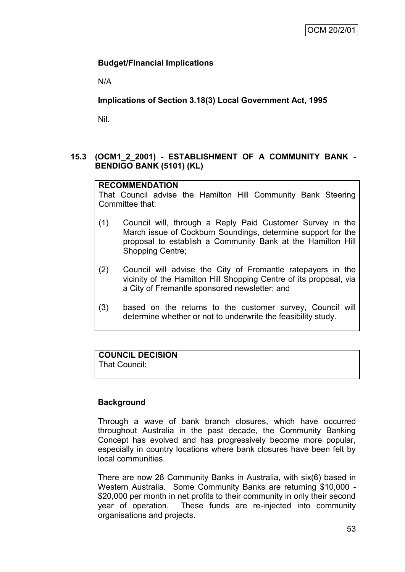# **Budget/Financial Implications**

N/A

**Implications of Section 3.18(3) Local Government Act, 1995**

Nil.

# **15.3 (OCM1\_2\_2001) - ESTABLISHMENT OF A COMMUNITY BANK - BENDIGO BANK (5101) (KL)**

# **RECOMMENDATION**

That Council advise the Hamilton Hill Community Bank Steering Committee that:

- (1) Council will, through a Reply Paid Customer Survey in the March issue of Cockburn Soundings, determine support for the proposal to establish a Community Bank at the Hamilton Hill Shopping Centre;
- (2) Council will advise the City of Fremantle ratepayers in the vicinity of the Hamilton Hill Shopping Centre of its proposal, via a City of Fremantle sponsored newsletter; and
- (3) based on the returns to the customer survey, Council will determine whether or not to underwrite the feasibility study.

# **COUNCIL DECISION**

That Council:

# **Background**

Through a wave of bank branch closures, which have occurred throughout Australia in the past decade, the Community Banking Concept has evolved and has progressively become more popular, especially in country locations where bank closures have been felt by local communities.

There are now 28 Community Banks in Australia, with six(6) based in Western Australia. Some Community Banks are returning \$10,000 - \$20,000 per month in net profits to their community in only their second year of operation. These funds are re-injected into community organisations and projects.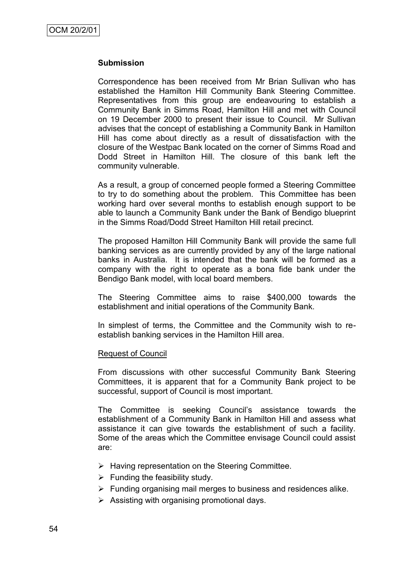#### **Submission**

Correspondence has been received from Mr Brian Sullivan who has established the Hamilton Hill Community Bank Steering Committee. Representatives from this group are endeavouring to establish a Community Bank in Simms Road, Hamilton Hill and met with Council on 19 December 2000 to present their issue to Council. Mr Sullivan advises that the concept of establishing a Community Bank in Hamilton Hill has come about directly as a result of dissatisfaction with the closure of the Westpac Bank located on the corner of Simms Road and Dodd Street in Hamilton Hill. The closure of this bank left the community vulnerable.

As a result, a group of concerned people formed a Steering Committee to try to do something about the problem. This Committee has been working hard over several months to establish enough support to be able to launch a Community Bank under the Bank of Bendigo blueprint in the Simms Road/Dodd Street Hamilton Hill retail precinct.

The proposed Hamilton Hill Community Bank will provide the same full banking services as are currently provided by any of the large national banks in Australia. It is intended that the bank will be formed as a company with the right to operate as a bona fide bank under the Bendigo Bank model, with local board members.

The Steering Committee aims to raise \$400,000 towards the establishment and initial operations of the Community Bank.

In simplest of terms, the Committee and the Community wish to reestablish banking services in the Hamilton Hill area.

#### Request of Council

From discussions with other successful Community Bank Steering Committees, it is apparent that for a Community Bank project to be successful, support of Council is most important.

The Committee is seeking Council"s assistance towards the establishment of a Community Bank in Hamilton Hill and assess what assistance it can give towards the establishment of such a facility. Some of the areas which the Committee envisage Council could assist are:

- $\triangleright$  Having representation on the Steering Committee.
- $\triangleright$  Funding the feasibility study.
- $\triangleright$  Funding organising mail merges to business and residences alike.
- $\triangleright$  Assisting with organising promotional days.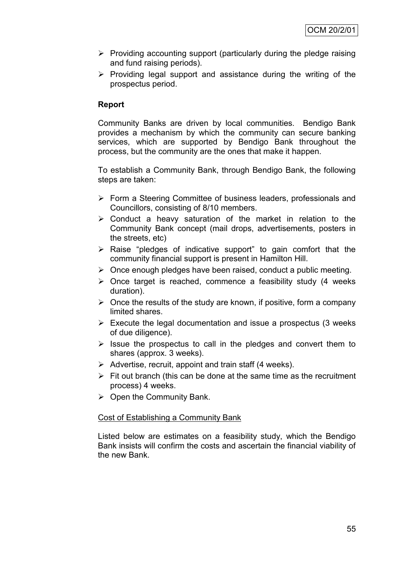- $\triangleright$  Providing accounting support (particularly during the pledge raising and fund raising periods).
- $\triangleright$  Providing legal support and assistance during the writing of the prospectus period.

# **Report**

Community Banks are driven by local communities. Bendigo Bank provides a mechanism by which the community can secure banking services, which are supported by Bendigo Bank throughout the process, but the community are the ones that make it happen.

To establish a Community Bank, through Bendigo Bank, the following steps are taken:

- Form a Steering Committee of business leaders, professionals and Councillors, consisting of 8/10 members.
- $\triangleright$  Conduct a heavy saturation of the market in relation to the Community Bank concept (mail drops, advertisements, posters in the streets, etc)
- $\triangleright$  Raise "pledges of indicative support" to gain comfort that the community financial support is present in Hamilton Hill.
- $\triangleright$  Once enough pledges have been raised, conduct a public meeting.
- $\triangleright$  Once target is reached, commence a feasibility study (4 weeks) duration).
- $\triangleright$  Once the results of the study are known, if positive, form a company limited shares.
- $\triangleright$  Execute the legal documentation and issue a prospectus (3 weeks) of due diligence).
- $\triangleright$  Issue the prospectus to call in the pledges and convert them to shares (approx. 3 weeks).
- $\triangleright$  Advertise, recruit, appoint and train staff (4 weeks).
- $\triangleright$  Fit out branch (this can be done at the same time as the recruitment process) 4 weeks.
- $\triangleright$  Open the Community Bank.

# Cost of Establishing a Community Bank

Listed below are estimates on a feasibility study, which the Bendigo Bank insists will confirm the costs and ascertain the financial viability of the new Bank.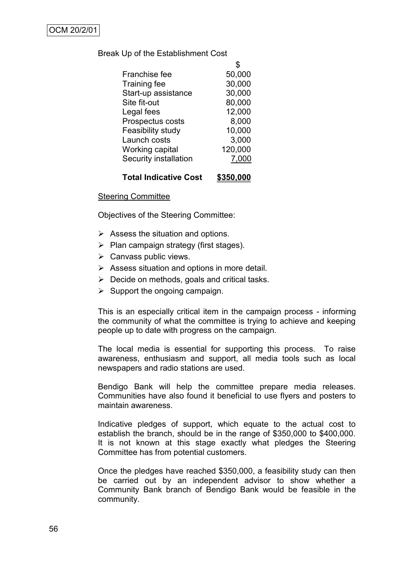#### Break Up of the Establishment Cost

| Franchise fee                | 50,000  |
|------------------------------|---------|
| <b>Training fee</b>          | 30,000  |
| Start-up assistance          | 30,000  |
| Site fit-out                 | 80,000  |
| Legal fees                   | 12,000  |
| Prospectus costs             | 8,000   |
| Feasibility study            | 10,000  |
| Launch costs                 | 3,000   |
| Working capital              | 120,000 |
| <b>Security installation</b> | 7,000   |
|                              |         |

# **Total Indicative Cost \$350,000**

#### Steering Committee

Objectives of the Steering Committee:

- $\triangleright$  Assess the situation and options.
- $\triangleright$  Plan campaign strategy (first stages).
- $\triangleright$  Canvass public views.
- $\triangleright$  Assess situation and options in more detail.
- $\triangleright$  Decide on methods, goals and critical tasks.
- $\triangleright$  Support the ongoing campaign.

This is an especially critical item in the campaign process - informing the community of what the committee is trying to achieve and keeping people up to date with progress on the campaign.

The local media is essential for supporting this process. To raise awareness, enthusiasm and support, all media tools such as local newspapers and radio stations are used.

Bendigo Bank will help the committee prepare media releases. Communities have also found it beneficial to use flyers and posters to maintain awareness.

Indicative pledges of support, which equate to the actual cost to establish the branch, should be in the range of \$350,000 to \$400,000. It is not known at this stage exactly what pledges the Steering Committee has from potential customers.

Once the pledges have reached \$350,000, a feasibility study can then be carried out by an independent advisor to show whether a Community Bank branch of Bendigo Bank would be feasible in the community.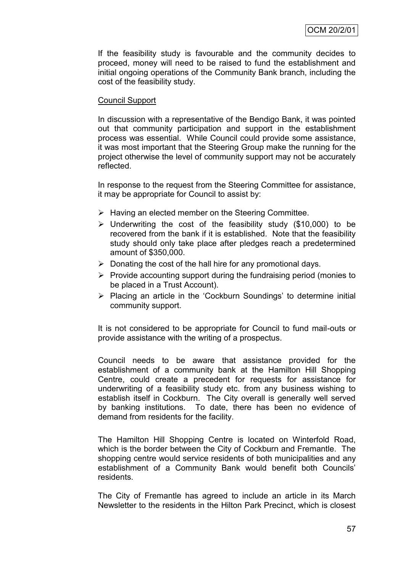If the feasibility study is favourable and the community decides to proceed, money will need to be raised to fund the establishment and initial ongoing operations of the Community Bank branch, including the cost of the feasibility study.

# Council Support

In discussion with a representative of the Bendigo Bank, it was pointed out that community participation and support in the establishment process was essential. While Council could provide some assistance, it was most important that the Steering Group make the running for the project otherwise the level of community support may not be accurately reflected.

In response to the request from the Steering Committee for assistance, it may be appropriate for Council to assist by:

- $\triangleright$  Having an elected member on the Steering Committee.
- $\triangleright$  Underwriting the cost of the feasibility study (\$10,000) to be recovered from the bank if it is established. Note that the feasibility study should only take place after pledges reach a predetermined amount of \$350,000.
- $\triangleright$  Donating the cost of the hall hire for any promotional days.
- $\triangleright$  Provide accounting support during the fundraising period (monies to be placed in a Trust Account).
- $\triangleright$  Placing an article in the 'Cockburn Soundings' to determine initial community support.

It is not considered to be appropriate for Council to fund mail-outs or provide assistance with the writing of a prospectus.

Council needs to be aware that assistance provided for the establishment of a community bank at the Hamilton Hill Shopping Centre, could create a precedent for requests for assistance for underwriting of a feasibility study etc. from any business wishing to establish itself in Cockburn. The City overall is generally well served by banking institutions. To date, there has been no evidence of demand from residents for the facility.

The Hamilton Hill Shopping Centre is located on Winterfold Road, which is the border between the City of Cockburn and Fremantle. The shopping centre would service residents of both municipalities and any establishment of a Community Bank would benefit both Councils" residents.

The City of Fremantle has agreed to include an article in its March Newsletter to the residents in the Hilton Park Precinct, which is closest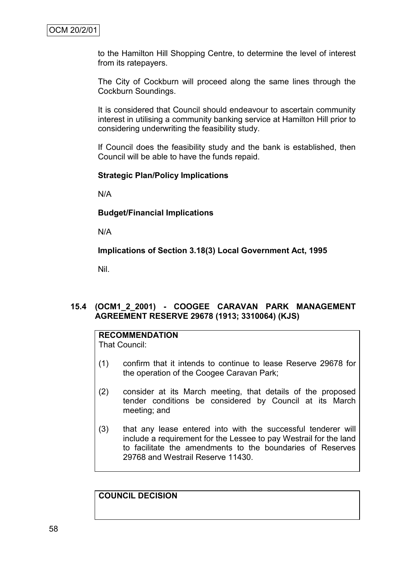to the Hamilton Hill Shopping Centre, to determine the level of interest from its ratepayers.

The City of Cockburn will proceed along the same lines through the Cockburn Soundings.

It is considered that Council should endeavour to ascertain community interest in utilising a community banking service at Hamilton Hill prior to considering underwriting the feasibility study.

If Council does the feasibility study and the bank is established, then Council will be able to have the funds repaid.

# **Strategic Plan/Policy Implications**

N/A

**Budget/Financial Implications**

N/A

**Implications of Section 3.18(3) Local Government Act, 1995**

Nil.

# **15.4 (OCM1\_2\_2001) - COOGEE CARAVAN PARK MANAGEMENT AGREEMENT RESERVE 29678 (1913; 3310064) (KJS)**

# **RECOMMENDATION**

That Council:

- (1) confirm that it intends to continue to lease Reserve 29678 for the operation of the Coogee Caravan Park;
- (2) consider at its March meeting, that details of the proposed tender conditions be considered by Council at its March meeting; and
- (3) that any lease entered into with the successful tenderer will include a requirement for the Lessee to pay Westrail for the land to facilitate the amendments to the boundaries of Reserves 29768 and Westrail Reserve 11430.

**COUNCIL DECISION**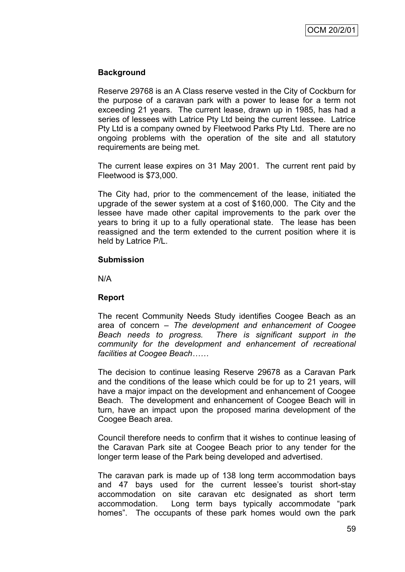# **Background**

Reserve 29768 is an A Class reserve vested in the City of Cockburn for the purpose of a caravan park with a power to lease for a term not exceeding 21 years. The current lease, drawn up in 1985, has had a series of lessees with Latrice Pty Ltd being the current lessee. Latrice Pty Ltd is a company owned by Fleetwood Parks Pty Ltd. There are no ongoing problems with the operation of the site and all statutory requirements are being met.

The current lease expires on 31 May 2001. The current rent paid by Fleetwood is \$73,000.

The City had, prior to the commencement of the lease, initiated the upgrade of the sewer system at a cost of \$160,000. The City and the lessee have made other capital improvements to the park over the years to bring it up to a fully operational state. The lease has been reassigned and the term extended to the current position where it is held by Latrice P/L.

#### **Submission**

N/A

# **Report**

The recent Community Needs Study identifies Coogee Beach as an area of concern – *The development and enhancement of Coogee Beach needs to progress. There is significant support in the community for the development and enhancement of recreational facilities at Coogee Beach……*

The decision to continue leasing Reserve 29678 as a Caravan Park and the conditions of the lease which could be for up to 21 years, will have a major impact on the development and enhancement of Coogee Beach. The development and enhancement of Coogee Beach will in turn, have an impact upon the proposed marina development of the Coogee Beach area.

Council therefore needs to confirm that it wishes to continue leasing of the Caravan Park site at Coogee Beach prior to any tender for the longer term lease of the Park being developed and advertised.

The caravan park is made up of 138 long term accommodation bays and 47 bays used for the current lessee"s tourist short-stay accommodation on site caravan etc designated as short term accommodation. Long term bays typically accommodate "park homes". The occupants of these park homes would own the park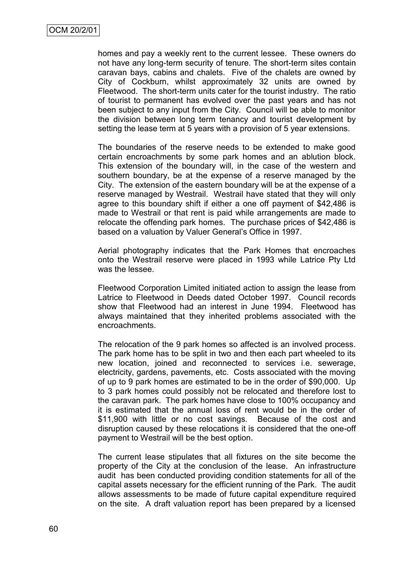homes and pay a weekly rent to the current lessee. These owners do not have any long-term security of tenure. The short-term sites contain caravan bays, cabins and chalets. Five of the chalets are owned by City of Cockburn, whilst approximately 32 units are owned by Fleetwood. The short-term units cater for the tourist industry. The ratio of tourist to permanent has evolved over the past years and has not been subject to any input from the City. Council will be able to monitor the division between long term tenancy and tourist development by setting the lease term at 5 years with a provision of 5 year extensions.

The boundaries of the reserve needs to be extended to make good certain encroachments by some park homes and an ablution block. This extension of the boundary will, in the case of the western and southern boundary, be at the expense of a reserve managed by the City. The extension of the eastern boundary will be at the expense of a reserve managed by Westrail. Westrail have stated that they will only agree to this boundary shift if either a one off payment of \$42,486 is made to Westrail or that rent is paid while arrangements are made to relocate the offending park homes. The purchase prices of \$42,486 is based on a valuation by Valuer General's Office in 1997.

Aerial photography indicates that the Park Homes that encroaches onto the Westrail reserve were placed in 1993 while Latrice Pty Ltd was the lessee.

Fleetwood Corporation Limited initiated action to assign the lease from Latrice to Fleetwood in Deeds dated October 1997. Council records show that Fleetwood had an interest in June 1994. Fleetwood has always maintained that they inherited problems associated with the encroachments.

The relocation of the 9 park homes so affected is an involved process. The park home has to be split in two and then each part wheeled to its new location, joined and reconnected to services i.e. sewerage, electricity, gardens, pavements, etc. Costs associated with the moving of up to 9 park homes are estimated to be in the order of \$90,000. Up to 3 park homes could possibly not be relocated and therefore lost to the caravan park. The park homes have close to 100% occupancy and it is estimated that the annual loss of rent would be in the order of \$11,900 with little or no cost savings. Because of the cost and disruption caused by these relocations it is considered that the one-off payment to Westrail will be the best option.

The current lease stipulates that all fixtures on the site become the property of the City at the conclusion of the lease. An infrastructure audit has been conducted providing condition statements for all of the capital assets necessary for the efficient running of the Park. The audit allows assessments to be made of future capital expenditure required on the site. A draft valuation report has been prepared by a licensed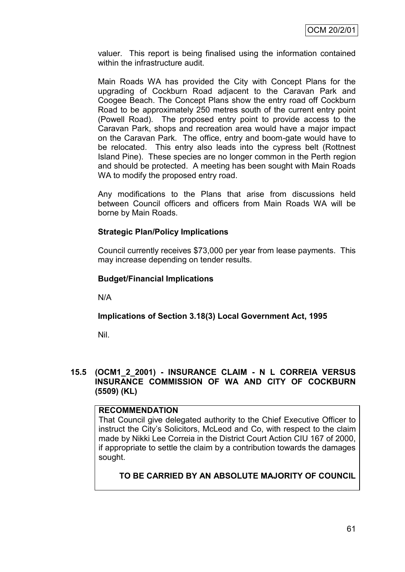valuer. This report is being finalised using the information contained within the infrastructure audit.

Main Roads WA has provided the City with Concept Plans for the upgrading of Cockburn Road adjacent to the Caravan Park and Coogee Beach. The Concept Plans show the entry road off Cockburn Road to be approximately 250 metres south of the current entry point (Powell Road). The proposed entry point to provide access to the Caravan Park, shops and recreation area would have a major impact on the Caravan Park. The office, entry and boom-gate would have to be relocated. This entry also leads into the cypress belt (Rottnest Island Pine). These species are no longer common in the Perth region and should be protected. A meeting has been sought with Main Roads WA to modify the proposed entry road.

Any modifications to the Plans that arise from discussions held between Council officers and officers from Main Roads WA will be borne by Main Roads.

# **Strategic Plan/Policy Implications**

Council currently receives \$73,000 per year from lease payments. This may increase depending on tender results.

# **Budget/Financial Implications**

N/A

# **Implications of Section 3.18(3) Local Government Act, 1995**

Nil.

# **15.5 (OCM1\_2\_2001) - INSURANCE CLAIM - N L CORREIA VERSUS INSURANCE COMMISSION OF WA AND CITY OF COCKBURN (5509) (KL)**

# **RECOMMENDATION**

That Council give delegated authority to the Chief Executive Officer to instruct the City"s Solicitors, McLeod and Co, with respect to the claim made by Nikki Lee Correia in the District Court Action CIU 167 of 2000, if appropriate to settle the claim by a contribution towards the damages sought.

# **TO BE CARRIED BY AN ABSOLUTE MAJORITY OF COUNCIL**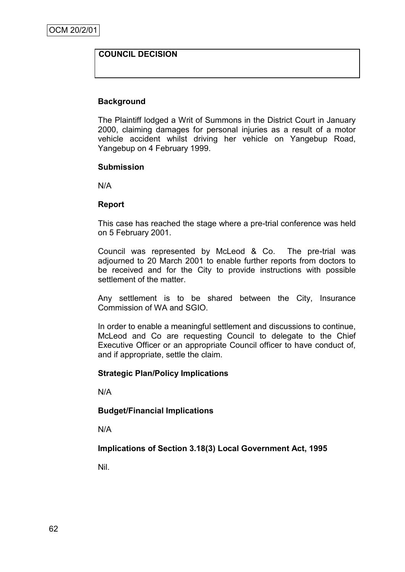# **COUNCIL DECISION**

# **Background**

The Plaintiff lodged a Writ of Summons in the District Court in January 2000, claiming damages for personal injuries as a result of a motor vehicle accident whilst driving her vehicle on Yangebup Road, Yangebup on 4 February 1999.

#### **Submission**

N/A

#### **Report**

This case has reached the stage where a pre-trial conference was held on 5 February 2001.

Council was represented by McLeod & Co. The pre-trial was adjourned to 20 March 2001 to enable further reports from doctors to be received and for the City to provide instructions with possible settlement of the matter.

Any settlement is to be shared between the City, Insurance Commission of WA and SGIO.

In order to enable a meaningful settlement and discussions to continue, McLeod and Co are requesting Council to delegate to the Chief Executive Officer or an appropriate Council officer to have conduct of, and if appropriate, settle the claim.

# **Strategic Plan/Policy Implications**

N/A

# **Budget/Financial Implications**

N/A

**Implications of Section 3.18(3) Local Government Act, 1995**

Nil.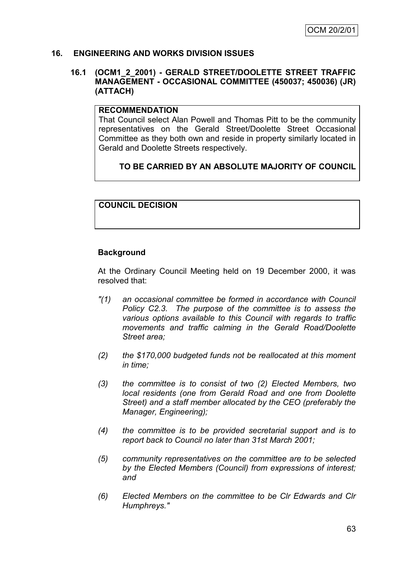#### **16. ENGINEERING AND WORKS DIVISION ISSUES**

#### **16.1 (OCM1\_2\_2001) - GERALD STREET/DOOLETTE STREET TRAFFIC MANAGEMENT - OCCASIONAL COMMITTEE (450037; 450036) (JR) (ATTACH)**

#### **RECOMMENDATION**

That Council select Alan Powell and Thomas Pitt to be the community representatives on the Gerald Street/Doolette Street Occasional Committee as they both own and reside in property similarly located in Gerald and Doolette Streets respectively.

# **TO BE CARRIED BY AN ABSOLUTE MAJORITY OF COUNCIL**

# **COUNCIL DECISION**

# **Background**

At the Ordinary Council Meeting held on 19 December 2000, it was resolved that:

- *"(1) an occasional committee be formed in accordance with Council Policy C2.3. The purpose of the committee is to assess the various options available to this Council with regards to traffic movements and traffic calming in the Gerald Road/Doolette Street area;*
- *(2) the \$170,000 budgeted funds not be reallocated at this moment in time;*
- *(3) the committee is to consist of two (2) Elected Members, two local residents (one from Gerald Road and one from Doolette Street) and a staff member allocated by the CEO (preferably the Manager, Engineering);*
- *(4) the committee is to be provided secretarial support and is to report back to Council no later than 31st March 2001;*
- *(5) community representatives on the committee are to be selected by the Elected Members (Council) from expressions of interest; and*
- *(6) Elected Members on the committee to be Clr Edwards and Clr Humphreys."*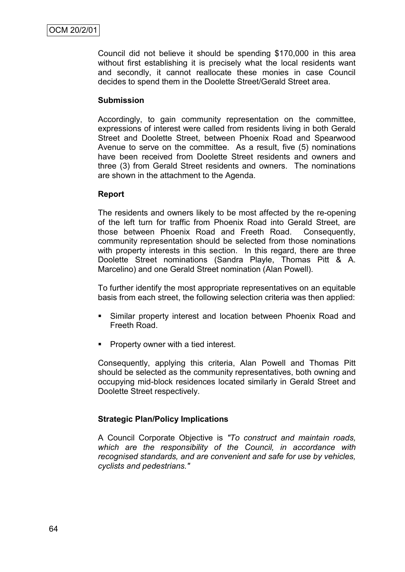Council did not believe it should be spending \$170,000 in this area without first establishing it is precisely what the local residents want and secondly, it cannot reallocate these monies in case Council decides to spend them in the Doolette Street/Gerald Street area.

# **Submission**

Accordingly, to gain community representation on the committee, expressions of interest were called from residents living in both Gerald Street and Doolette Street, between Phoenix Road and Spearwood Avenue to serve on the committee. As a result, five (5) nominations have been received from Doolette Street residents and owners and three (3) from Gerald Street residents and owners. The nominations are shown in the attachment to the Agenda.

# **Report**

The residents and owners likely to be most affected by the re-opening of the left turn for traffic from Phoenix Road into Gerald Street, are those between Phoenix Road and Freeth Road. Consequently, community representation should be selected from those nominations with property interests in this section. In this regard, there are three Doolette Street nominations (Sandra Playle, Thomas Pitt & A. Marcelino) and one Gerald Street nomination (Alan Powell).

To further identify the most appropriate representatives on an equitable basis from each street, the following selection criteria was then applied:

- Similar property interest and location between Phoenix Road and Freeth Road.
- **Property owner with a tied interest.**

Consequently, applying this criteria, Alan Powell and Thomas Pitt should be selected as the community representatives, both owning and occupying mid-block residences located similarly in Gerald Street and Doolette Street respectively.

# **Strategic Plan/Policy Implications**

A Council Corporate Objective is *"To construct and maintain roads, which are the responsibility of the Council, in accordance with recognised standards, and are convenient and safe for use by vehicles, cyclists and pedestrians."*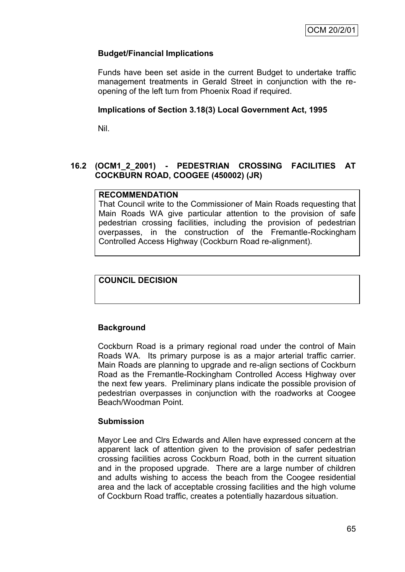# **Budget/Financial Implications**

Funds have been set aside in the current Budget to undertake traffic management treatments in Gerald Street in conjunction with the reopening of the left turn from Phoenix Road if required.

#### **Implications of Section 3.18(3) Local Government Act, 1995**

Nil.

# **16.2 (OCM1\_2\_2001) - PEDESTRIAN CROSSING FACILITIES AT COCKBURN ROAD, COOGEE (450002) (JR)**

#### **RECOMMENDATION**

That Council write to the Commissioner of Main Roads requesting that Main Roads WA give particular attention to the provision of safe pedestrian crossing facilities, including the provision of pedestrian overpasses, in the construction of the Fremantle-Rockingham Controlled Access Highway (Cockburn Road re-alignment).

# **COUNCIL DECISION**

# **Background**

Cockburn Road is a primary regional road under the control of Main Roads WA. Its primary purpose is as a major arterial traffic carrier. Main Roads are planning to upgrade and re-align sections of Cockburn Road as the Fremantle-Rockingham Controlled Access Highway over the next few years. Preliminary plans indicate the possible provision of pedestrian overpasses in conjunction with the roadworks at Coogee Beach/Woodman Point.

# **Submission**

Mayor Lee and Clrs Edwards and Allen have expressed concern at the apparent lack of attention given to the provision of safer pedestrian crossing facilities across Cockburn Road, both in the current situation and in the proposed upgrade. There are a large number of children and adults wishing to access the beach from the Coogee residential area and the lack of acceptable crossing facilities and the high volume of Cockburn Road traffic, creates a potentially hazardous situation.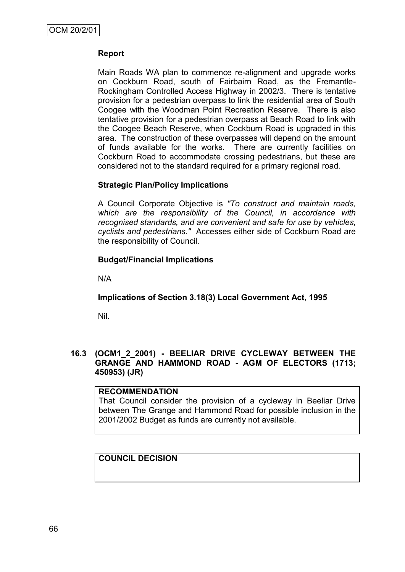# **Report**

Main Roads WA plan to commence re-alignment and upgrade works on Cockburn Road, south of Fairbairn Road, as the Fremantle-Rockingham Controlled Access Highway in 2002/3. There is tentative provision for a pedestrian overpass to link the residential area of South Coogee with the Woodman Point Recreation Reserve. There is also tentative provision for a pedestrian overpass at Beach Road to link with the Coogee Beach Reserve, when Cockburn Road is upgraded in this area. The construction of these overpasses will depend on the amount of funds available for the works. There are currently facilities on Cockburn Road to accommodate crossing pedestrians, but these are considered not to the standard required for a primary regional road.

# **Strategic Plan/Policy Implications**

A Council Corporate Objective is *"To construct and maintain roads, which are the responsibility of the Council, in accordance with recognised standards, and are convenient and safe for use by vehicles, cyclists and pedestrians."* Accesses either side of Cockburn Road are the responsibility of Council.

# **Budget/Financial Implications**

N/A

**Implications of Section 3.18(3) Local Government Act, 1995**

Nil.

# **16.3 (OCM1\_2\_2001) - BEELIAR DRIVE CYCLEWAY BETWEEN THE GRANGE AND HAMMOND ROAD - AGM OF ELECTORS (1713; 450953) (JR)**

# **RECOMMENDATION**

That Council consider the provision of a cycleway in Beeliar Drive between The Grange and Hammond Road for possible inclusion in the 2001/2002 Budget as funds are currently not available.

# **COUNCIL DECISION**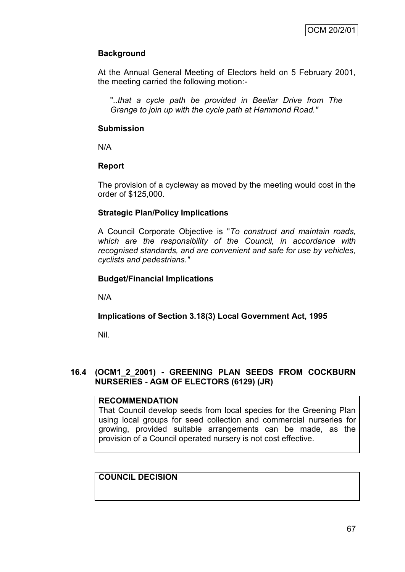# **Background**

At the Annual General Meeting of Electors held on 5 February 2001, the meeting carried the following motion:-

"*..that a cycle path be provided in Beeliar Drive from The Grange to join up with the cycle path at Hammond Road."*

# **Submission**

N/A

# **Report**

The provision of a cycleway as moved by the meeting would cost in the order of \$125,000.

# **Strategic Plan/Policy Implications**

A Council Corporate Objective is "*To construct and maintain roads, which are the responsibility of the Council, in accordance with recognised standards, and are convenient and safe for use by vehicles, cyclists and pedestrians."*

# **Budget/Financial Implications**

N/A

# **Implications of Section 3.18(3) Local Government Act, 1995**

Nil.

# **16.4 (OCM1\_2\_2001) - GREENING PLAN SEEDS FROM COCKBURN NURSERIES - AGM OF ELECTORS (6129) (JR)**

# **RECOMMENDATION**

That Council develop seeds from local species for the Greening Plan using local groups for seed collection and commercial nurseries for growing, provided suitable arrangements can be made, as the provision of a Council operated nursery is not cost effective.

# **COUNCIL DECISION**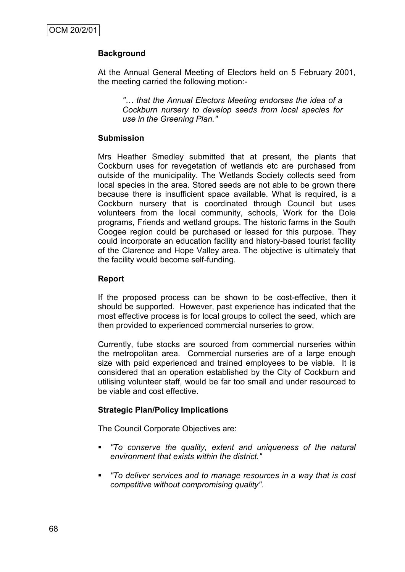# **Background**

At the Annual General Meeting of Electors held on 5 February 2001, the meeting carried the following motion:-

*"… that the Annual Electors Meeting endorses the idea of a Cockburn nursery to develop seeds from local species for use in the Greening Plan."*

## **Submission**

Mrs Heather Smedley submitted that at present, the plants that Cockburn uses for revegetation of wetlands etc are purchased from outside of the municipality. The Wetlands Society collects seed from local species in the area. Stored seeds are not able to be grown there because there is insufficient space available. What is required, is a Cockburn nursery that is coordinated through Council but uses volunteers from the local community, schools, Work for the Dole programs, Friends and wetland groups. The historic farms in the South Coogee region could be purchased or leased for this purpose. They could incorporate an education facility and history-based tourist facility of the Clarence and Hope Valley area. The objective is ultimately that the facility would become self-funding.

## **Report**

If the proposed process can be shown to be cost-effective, then it should be supported. However, past experience has indicated that the most effective process is for local groups to collect the seed, which are then provided to experienced commercial nurseries to grow.

Currently, tube stocks are sourced from commercial nurseries within the metropolitan area. Commercial nurseries are of a large enough size with paid experienced and trained employees to be viable. It is considered that an operation established by the City of Cockburn and utilising volunteer staff, would be far too small and under resourced to be viable and cost effective.

## **Strategic Plan/Policy Implications**

The Council Corporate Objectives are:

- *"To conserve the quality, extent and uniqueness of the natural environment that exists within the district."*
- *"To deliver services and to manage resources in a way that is cost competitive without compromising quality".*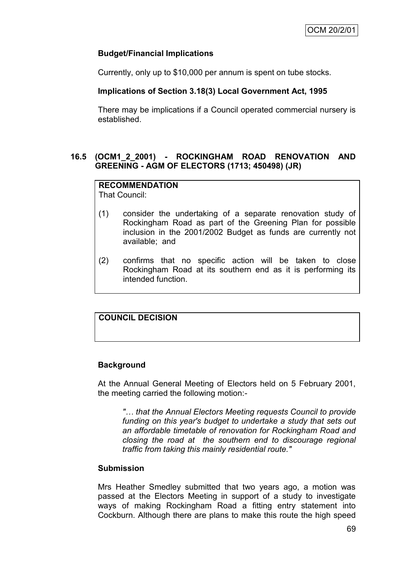# **Budget/Financial Implications**

Currently, only up to \$10,000 per annum is spent on tube stocks.

# **Implications of Section 3.18(3) Local Government Act, 1995**

There may be implications if a Council operated commercial nursery is established.

# **16.5 (OCM1\_2\_2001) - ROCKINGHAM ROAD RENOVATION AND GREENING - AGM OF ELECTORS (1713; 450498) (JR)**

# **RECOMMENDATION**

That Council:

- (1) consider the undertaking of a separate renovation study of Rockingham Road as part of the Greening Plan for possible inclusion in the 2001/2002 Budget as funds are currently not available; and
- (2) confirms that no specific action will be taken to close Rockingham Road at its southern end as it is performing its intended function.

# **COUNCIL DECISION**

## **Background**

At the Annual General Meeting of Electors held on 5 February 2001, the meeting carried the following motion:-

*"… that the Annual Electors Meeting requests Council to provide funding on this year's budget to undertake a study that sets out an affordable timetable of renovation for Rockingham Road and closing the road at the southern end to discourage regional traffic from taking this mainly residential route."*

## **Submission**

Mrs Heather Smedley submitted that two years ago, a motion was passed at the Electors Meeting in support of a study to investigate ways of making Rockingham Road a fitting entry statement into Cockburn. Although there are plans to make this route the high speed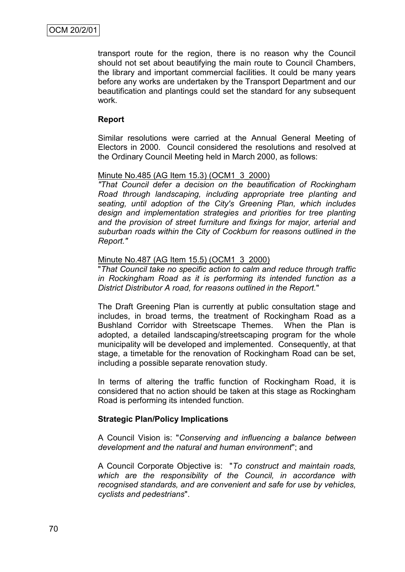transport route for the region, there is no reason why the Council should not set about beautifying the main route to Council Chambers, the library and important commercial facilities. It could be many years before any works are undertaken by the Transport Department and our beautification and plantings could set the standard for any subsequent work.

## **Report**

Similar resolutions were carried at the Annual General Meeting of Electors in 2000. Council considered the resolutions and resolved at the Ordinary Council Meeting held in March 2000, as follows:

#### Minute No.485 (AG Item 15.3) (OCM1\_3\_2000)

*"That Council defer a decision on the beautification of Rockingham Road through landscaping, including appropriate tree planting and seating, until adoption of the City's Greening Plan, which includes design and implementation strategies and priorities for tree planting and the provision of street furniture and fixings for major, arterial and suburban roads within the City of Cockburn for reasons outlined in the Report."*

#### Minute No.487 (AG Item 15.5) (OCM1\_3\_2000)

"*That Council take no specific action to calm and reduce through traffic in Rockingham Road as it is performing its intended function as a District Distributor A road, for reasons outlined in the Report.*"

The Draft Greening Plan is currently at public consultation stage and includes, in broad terms, the treatment of Rockingham Road as a Bushland Corridor with Streetscape Themes. When the Plan is adopted, a detailed landscaping/streetscaping program for the whole municipality will be developed and implemented. Consequently, at that stage, a timetable for the renovation of Rockingham Road can be set, including a possible separate renovation study.

In terms of altering the traffic function of Rockingham Road, it is considered that no action should be taken at this stage as Rockingham Road is performing its intended function.

#### **Strategic Plan/Policy Implications**

A Council Vision is: "*Conserving and influencing a balance between development and the natural and human environment*"; and

A Council Corporate Objective is: "*To construct and maintain roads, which are the responsibility of the Council, in accordance with recognised standards, and are convenient and safe for use by vehicles, cyclists and pedestrians*".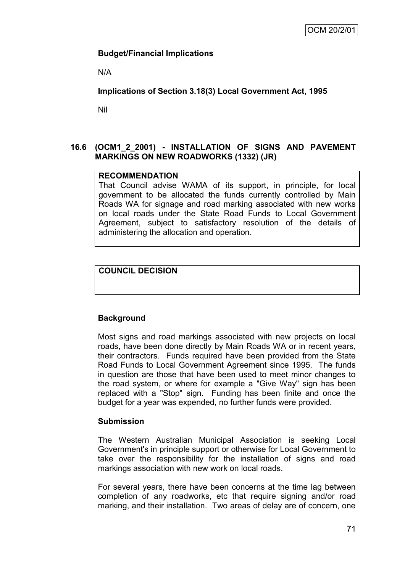# **Budget/Financial Implications**

N/A

# **Implications of Section 3.18(3) Local Government Act, 1995**

Nil

# **16.6 (OCM1\_2\_2001) - INSTALLATION OF SIGNS AND PAVEMENT MARKINGS ON NEW ROADWORKS (1332) (JR)**

# **RECOMMENDATION**

That Council advise WAMA of its support, in principle, for local government to be allocated the funds currently controlled by Main Roads WA for signage and road marking associated with new works on local roads under the State Road Funds to Local Government Agreement, subject to satisfactory resolution of the details of administering the allocation and operation.

# **COUNCIL DECISION**

# **Background**

Most signs and road markings associated with new projects on local roads, have been done directly by Main Roads WA or in recent years, their contractors. Funds required have been provided from the State Road Funds to Local Government Agreement since 1995. The funds in question are those that have been used to meet minor changes to the road system, or where for example a "Give Way" sign has been replaced with a "Stop" sign. Funding has been finite and once the budget for a year was expended, no further funds were provided.

# **Submission**

The Western Australian Municipal Association is seeking Local Government's in principle support or otherwise for Local Government to take over the responsibility for the installation of signs and road markings association with new work on local roads.

For several years, there have been concerns at the time lag between completion of any roadworks, etc that require signing and/or road marking, and their installation. Two areas of delay are of concern, one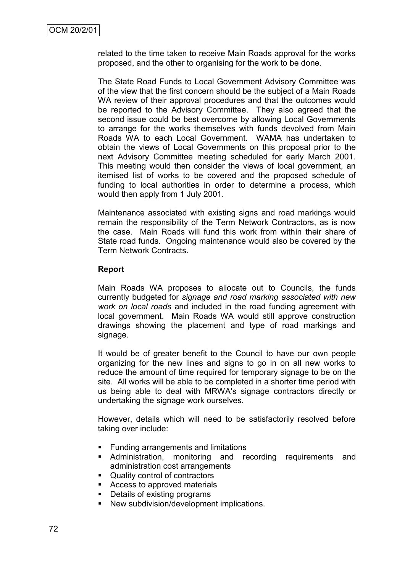related to the time taken to receive Main Roads approval for the works proposed, and the other to organising for the work to be done.

The State Road Funds to Local Government Advisory Committee was of the view that the first concern should be the subject of a Main Roads WA review of their approval procedures and that the outcomes would be reported to the Advisory Committee. They also agreed that the second issue could be best overcome by allowing Local Governments to arrange for the works themselves with funds devolved from Main Roads WA to each Local Government. WAMA has undertaken to obtain the views of Local Governments on this proposal prior to the next Advisory Committee meeting scheduled for early March 2001. This meeting would then consider the views of local government, an itemised list of works to be covered and the proposed schedule of funding to local authorities in order to determine a process, which would then apply from 1 July 2001.

Maintenance associated with existing signs and road markings would remain the responsibility of the Term Network Contractors, as is now the case. Main Roads will fund this work from within their share of State road funds. Ongoing maintenance would also be covered by the Term Network Contracts.

## **Report**

Main Roads WA proposes to allocate out to Councils, the funds currently budgeted for *signage and road marking associated with new work on local roads* and included in the road funding agreement with local government. Main Roads WA would still approve construction drawings showing the placement and type of road markings and signage.

It would be of greater benefit to the Council to have our own people organizing for the new lines and signs to go in on all new works to reduce the amount of time required for temporary signage to be on the site. All works will be able to be completed in a shorter time period with us being able to deal with MRWA's signage contractors directly or undertaking the signage work ourselves.

However, details which will need to be satisfactorily resolved before taking over include:

- **Funding arrangements and limitations**
- Administration, monitoring and recording requirements and administration cost arrangements
- Quality control of contractors
- **Access to approved materials**
- Details of existing programs
- **New subdivision/development implications.**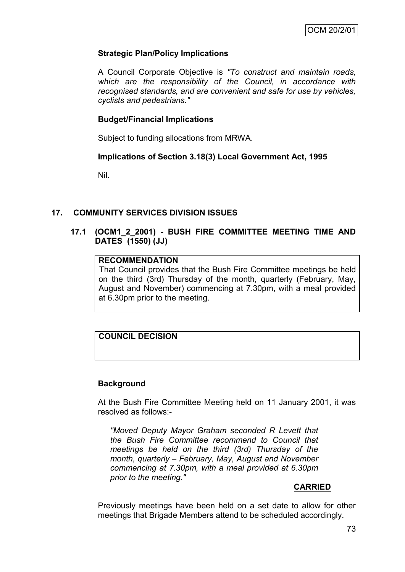# **Strategic Plan/Policy Implications**

A Council Corporate Objective is *"To construct and maintain roads, which are the responsibility of the Council, in accordance with recognised standards, and are convenient and safe for use by vehicles, cyclists and pedestrians."*

# **Budget/Financial Implications**

Subject to funding allocations from MRWA.

# **Implications of Section 3.18(3) Local Government Act, 1995**

Nil.

# **17. COMMUNITY SERVICES DIVISION ISSUES**

## **17.1 (OCM1\_2\_2001) - BUSH FIRE COMMITTEE MEETING TIME AND DATES (1550) (JJ)**

# **RECOMMENDATION**

That Council provides that the Bush Fire Committee meetings be held on the third (3rd) Thursday of the month, quarterly (February, May, August and November) commencing at 7.30pm, with a meal provided at 6.30pm prior to the meeting.

# **COUNCIL DECISION**

## **Background**

At the Bush Fire Committee Meeting held on 11 January 2001, it was resolved as follows:-

*"Moved Deputy Mayor Graham seconded R Levett that the Bush Fire Committee recommend to Council that meetings be held on the third (3rd) Thursday of the month, quarterly – February, May, August and November commencing at 7.30pm, with a meal provided at 6.30pm prior to the meeting."*

## **CARRIED**

Previously meetings have been held on a set date to allow for other meetings that Brigade Members attend to be scheduled accordingly.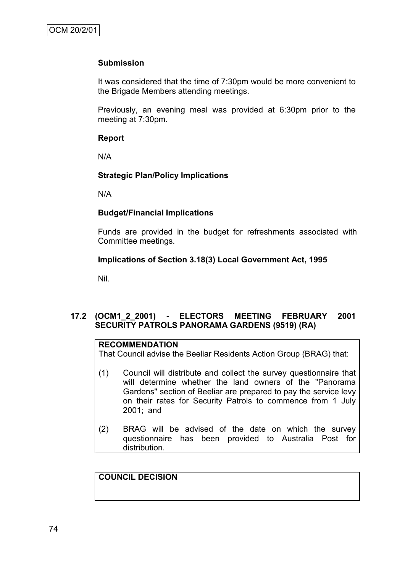## **Submission**

It was considered that the time of 7:30pm would be more convenient to the Brigade Members attending meetings.

Previously, an evening meal was provided at 6:30pm prior to the meeting at 7:30pm.

#### **Report**

N/A

## **Strategic Plan/Policy Implications**

N/A

## **Budget/Financial Implications**

Funds are provided in the budget for refreshments associated with Committee meetings.

#### **Implications of Section 3.18(3) Local Government Act, 1995**

Nil.

# **17.2 (OCM1\_2\_2001) - ELECTORS MEETING FEBRUARY 2001 SECURITY PATROLS PANORAMA GARDENS (9519) (RA)**

## **RECOMMENDATION**

That Council advise the Beeliar Residents Action Group (BRAG) that:

- (1) Council will distribute and collect the survey questionnaire that will determine whether the land owners of the "Panorama Gardens" section of Beeliar are prepared to pay the service levy on their rates for Security Patrols to commence from 1 July 2001; and
- (2) BRAG will be advised of the date on which the survey questionnaire has been provided to Australia Post for distribution.

## **COUNCIL DECISION**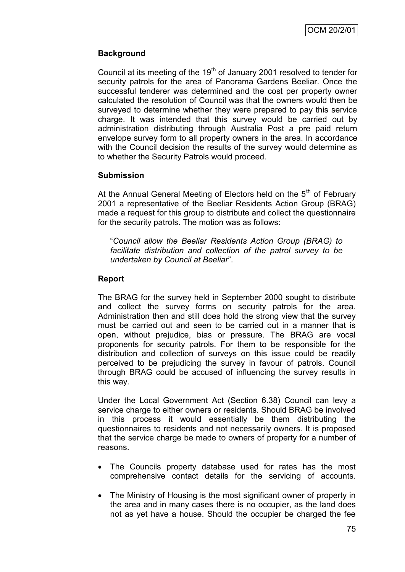# **Background**

Council at its meeting of the  $19<sup>th</sup>$  of January 2001 resolved to tender for security patrols for the area of Panorama Gardens Beeliar. Once the successful tenderer was determined and the cost per property owner calculated the resolution of Council was that the owners would then be surveyed to determine whether they were prepared to pay this service charge. It was intended that this survey would be carried out by administration distributing through Australia Post a pre paid return envelope survey form to all property owners in the area. In accordance with the Council decision the results of the survey would determine as to whether the Security Patrols would proceed.

# **Submission**

At the Annual General Meeting of Electors held on the  $5<sup>th</sup>$  of February 2001 a representative of the Beeliar Residents Action Group (BRAG) made a request for this group to distribute and collect the questionnaire for the security patrols. The motion was as follows:

"*Council allow the Beeliar Residents Action Group (BRAG) to facilitate distribution and collection of the patrol survey to be undertaken by Council at Beeliar*".

# **Report**

The BRAG for the survey held in September 2000 sought to distribute and collect the survey forms on security patrols for the area. Administration then and still does hold the strong view that the survey must be carried out and seen to be carried out in a manner that is open, without prejudice, bias or pressure. The BRAG are vocal proponents for security patrols. For them to be responsible for the distribution and collection of surveys on this issue could be readily perceived to be prejudicing the survey in favour of patrols. Council through BRAG could be accused of influencing the survey results in this way.

Under the Local Government Act (Section 6.38) Council can levy a service charge to either owners or residents. Should BRAG be involved in this process it would essentially be them distributing the questionnaires to residents and not necessarily owners. It is proposed that the service charge be made to owners of property for a number of reasons.

- The Councils property database used for rates has the most comprehensive contact details for the servicing of accounts.
- The Ministry of Housing is the most significant owner of property in the area and in many cases there is no occupier, as the land does not as yet have a house. Should the occupier be charged the fee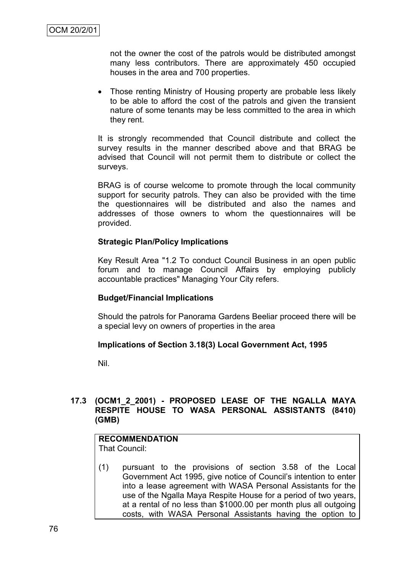not the owner the cost of the patrols would be distributed amongst many less contributors. There are approximately 450 occupied houses in the area and 700 properties.

• Those renting Ministry of Housing property are probable less likely to be able to afford the cost of the patrols and given the transient nature of some tenants may be less committed to the area in which they rent.

It is strongly recommended that Council distribute and collect the survey results in the manner described above and that BRAG be advised that Council will not permit them to distribute or collect the surveys.

BRAG is of course welcome to promote through the local community support for security patrols. They can also be provided with the time the questionnaires will be distributed and also the names and addresses of those owners to whom the questionnaires will be provided.

#### **Strategic Plan/Policy Implications**

Key Result Area "1.2 To conduct Council Business in an open public forum and to manage Council Affairs by employing publicly accountable practices" Managing Your City refers.

## **Budget/Financial Implications**

Should the patrols for Panorama Gardens Beeliar proceed there will be a special levy on owners of properties in the area

## **Implications of Section 3.18(3) Local Government Act, 1995**

Nil.

# **17.3 (OCM1\_2\_2001) - PROPOSED LEASE OF THE NGALLA MAYA RESPITE HOUSE TO WASA PERSONAL ASSISTANTS (8410) (GMB)**

# **RECOMMENDATION**

That Council:

(1) pursuant to the provisions of section 3.58 of the Local Government Act 1995, give notice of Council"s intention to enter into a lease agreement with WASA Personal Assistants for the use of the Ngalla Maya Respite House for a period of two years, at a rental of no less than \$1000.00 per month plus all outgoing costs, with WASA Personal Assistants having the option to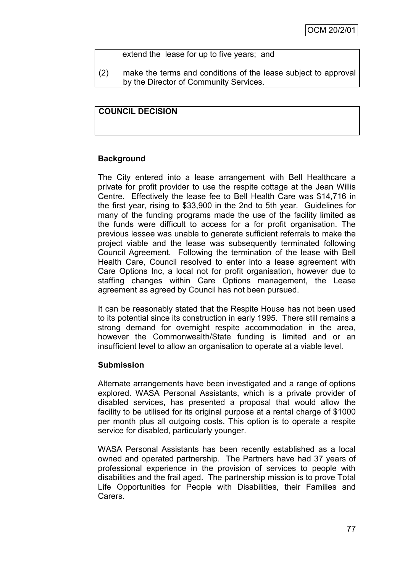## extend the lease for up to five years; and

(2) make the terms and conditions of the lease subject to approval by the Director of Community Services.

# **COUNCIL DECISION**

## **Background**

The City entered into a lease arrangement with Bell Healthcare a private for profit provider to use the respite cottage at the Jean Willis Centre. Effectively the lease fee to Bell Health Care was \$14,716 in the first year, rising to \$33,900 in the 2nd to 5th year. Guidelines for many of the funding programs made the use of the facility limited as the funds were difficult to access for a for profit organisation. The previous lessee was unable to generate sufficient referrals to make the project viable and the lease was subsequently terminated following Council Agreement. Following the termination of the lease with Bell Health Care, Council resolved to enter into a lease agreement with Care Options Inc, a local not for profit organisation, however due to staffing changes within Care Options management, the Lease agreement as agreed by Council has not been pursued.

It can be reasonably stated that the Respite House has not been used to its potential since its construction in early 1995. There still remains a strong demand for overnight respite accommodation in the area, however the Commonwealth/State funding is limited and or an insufficient level to allow an organisation to operate at a viable level.

#### **Submission**

Alternate arrangements have been investigated and a range of options explored. WASA Personal Assistants, which is a private provider of disabled services**,** has presented a proposal that would allow the facility to be utilised for its original purpose at a rental charge of \$1000 per month plus all outgoing costs. This option is to operate a respite service for disabled, particularly younger.

WASA Personal Assistants has been recently established as a local owned and operated partnership. The Partners have had 37 years of professional experience in the provision of services to people with disabilities and the frail aged. The partnership mission is to prove Total Life Opportunities for People with Disabilities, their Families and Carers.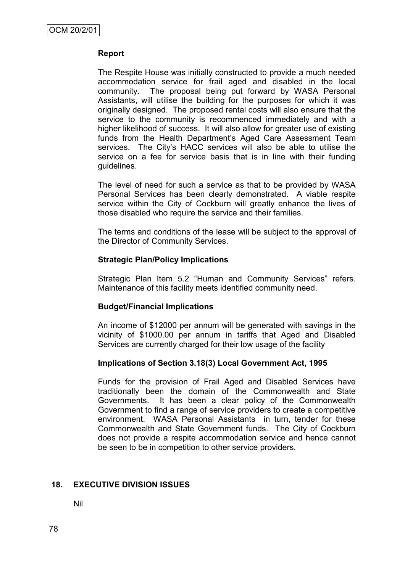# **Report**

The Respite House was initially constructed to provide a much needed accommodation service for frail aged and disabled in the local community. The proposal being put forward by WASA Personal Assistants, will utilise the building for the purposes for which it was originally designed. The proposed rental costs will also ensure that the service to the community is recommenced immediately and with a higher likelihood of success. It will also allow for greater use of existing funds from the Health Department's Aged Care Assessment Team services. The City"s HACC services will also be able to utilise the service on a fee for service basis that is in line with their funding guidelines.

The level of need for such a service as that to be provided by WASA Personal Services has been clearly demonstrated. A viable respite service within the City of Cockburn will greatly enhance the lives of those disabled who require the service and their families.

The terms and conditions of the lease will be subject to the approval of the Director of Community Services.

## **Strategic Plan/Policy Implications**

Strategic Plan Item 5.2 "Human and Community Services" refers. Maintenance of this facility meets identified community need.

## **Budget/Financial Implications**

An income of \$12000 per annum will be generated with savings in the vicinity of \$1000.00 per annum in tariffs that Aged and Disabled Services are currently charged for their low usage of the facility

## **Implications of Section 3.18(3) Local Government Act, 1995**

Funds for the provision of Frail Aged and Disabled Services have traditionally been the domain of the Commonwealth and State Governments. It has been a clear policy of the Commonwealth Government to find a range of service providers to create a competitive environment. WASA Personal Assistants in turn, tender for these Commonwealth and State Government funds. The City of Cockburn does not provide a respite accommodation service and hence cannot be seen to be in competition to other service providers.

## **18. EXECUTIVE DIVISION ISSUES**

Nil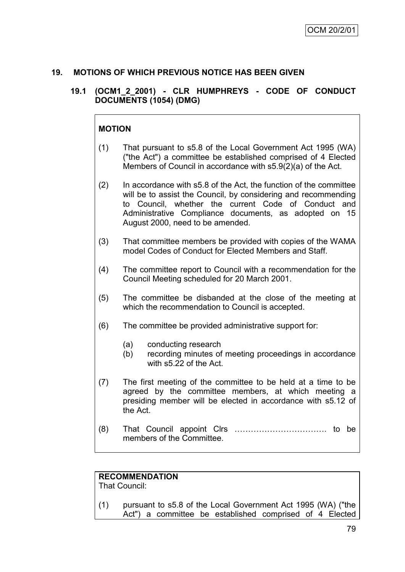# **19. MOTIONS OF WHICH PREVIOUS NOTICE HAS BEEN GIVEN**

# **19.1 (OCM1\_2\_2001) - CLR HUMPHREYS - CODE OF CONDUCT DOCUMENTS (1054) (DMG)**

# **MOTION**

- (1) That pursuant to s5.8 of the Local Government Act 1995 (WA) ("the Act") a committee be established comprised of 4 Elected Members of Council in accordance with s5.9(2)(a) of the Act.
- (2) In accordance with s5.8 of the Act, the function of the committee will be to assist the Council, by considering and recommending to Council, whether the current Code of Conduct and Administrative Compliance documents, as adopted on 15 August 2000, need to be amended.
- (3) That committee members be provided with copies of the WAMA model Codes of Conduct for Elected Members and Staff.
- (4) The committee report to Council with a recommendation for the Council Meeting scheduled for 20 March 2001.
- (5) The committee be disbanded at the close of the meeting at which the recommendation to Council is accepted.
- (6) The committee be provided administrative support for:
	- (a) conducting research
	- (b) recording minutes of meeting proceedings in accordance with s5.22 of the Act.
- (7) The first meeting of the committee to be held at a time to be agreed by the committee members, at which meeting a presiding member will be elected in accordance with s5.12 of the Act.
- (8) That Council appoint Clrs ……………………………. to be members of the Committee.

# **RECOMMENDATION**

That Council:

(1) pursuant to s5.8 of the Local Government Act 1995 (WA) ("the Act") a committee be established comprised of 4 Elected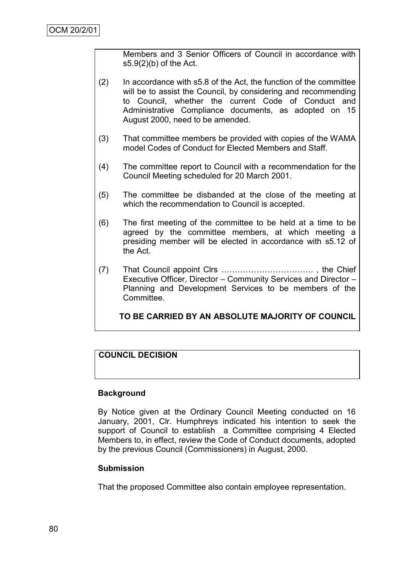Members and 3 Senior Officers of Council in accordance with s5.9(2)(b) of the Act.

- (2) In accordance with s5.8 of the Act, the function of the committee will be to assist the Council, by considering and recommending to Council, whether the current Code of Conduct and Administrative Compliance documents, as adopted on 15 August 2000, need to be amended.
- (3) That committee members be provided with copies of the WAMA model Codes of Conduct for Elected Members and Staff.
- (4) The committee report to Council with a recommendation for the Council Meeting scheduled for 20 March 2001.
- (5) The committee be disbanded at the close of the meeting at which the recommendation to Council is accepted.
- (6) The first meeting of the committee to be held at a time to be agreed by the committee members, at which meeting a presiding member will be elected in accordance with s5.12 of the Act.
- (7) That Council appoint Clrs ……………………………. , the Chief Executive Officer, Director – Community Services and Director – Planning and Development Services to be members of the **Committee.**

**TO BE CARRIED BY AN ABSOLUTE MAJORITY OF COUNCIL**

# **COUNCIL DECISION**

## **Background**

By Notice given at the Ordinary Council Meeting conducted on 16 January, 2001, Clr. Humphreys indicated his intention to seek the support of Council to establish a Committee comprising 4 Elected Members to, in effect, review the Code of Conduct documents, adopted by the previous Council (Commissioners) in August, 2000.

## **Submission**

That the proposed Committee also contain employee representation.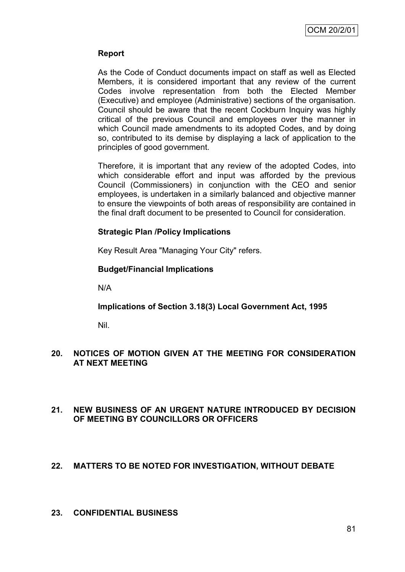# **Report**

As the Code of Conduct documents impact on staff as well as Elected Members, it is considered important that any review of the current Codes involve representation from both the Elected Member (Executive) and employee (Administrative) sections of the organisation. Council should be aware that the recent Cockburn Inquiry was highly critical of the previous Council and employees over the manner in which Council made amendments to its adopted Codes, and by doing so, contributed to its demise by displaying a lack of application to the principles of good government.

Therefore, it is important that any review of the adopted Codes, into which considerable effort and input was afforded by the previous Council (Commissioners) in conjunction with the CEO and senior employees, is undertaken in a similarly balanced and objective manner to ensure the viewpoints of both areas of responsibility are contained in the final draft document to be presented to Council for consideration.

# **Strategic Plan /Policy Implications**

Key Result Area "Managing Your City" refers.

# **Budget/Financial Implications**

N/A

# **Implications of Section 3.18(3) Local Government Act, 1995**

Nil.

# **20. NOTICES OF MOTION GIVEN AT THE MEETING FOR CONSIDERATION AT NEXT MEETING**

# **21. NEW BUSINESS OF AN URGENT NATURE INTRODUCED BY DECISION OF MEETING BY COUNCILLORS OR OFFICERS**

# **22. MATTERS TO BE NOTED FOR INVESTIGATION, WITHOUT DEBATE**

## **23. CONFIDENTIAL BUSINESS**